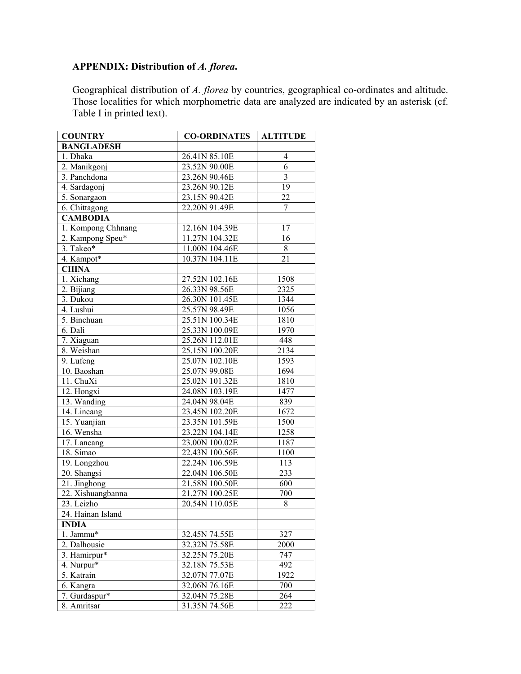## **APPENDIX: Distribution of** *A. florea***.**

Geographical distribution of *A. florea* by countries, geographical co-ordinates and altitude. Those localities for which morphometric data are analyzed are indicated by an asterisk (cf. Table I in printed text).

| <b>COUNTRY</b>     | <b>CO-ORDINATES</b> | <b>ALTITUDE</b> |
|--------------------|---------------------|-----------------|
| <b>BANGLADESH</b>  |                     |                 |
| 1. Dhaka           | 26.41N 85.10E       | 4               |
| 2. Manikgonj       | 23.52N 90.00E       | 6               |
| 3. Panchdona       | 23.26N 90.46E       | $\overline{3}$  |
| 4. Sardagonj       | 23.26N 90.12E       | 19              |
| 5. Sonargaon       | 23.15N 90.42E       | 22              |
| 6. Chittagong      | 22.20N 91.49E       | 7               |
| <b>CAMBODIA</b>    |                     |                 |
| 1. Kompong Chhnang | 12.16N 104.39E      | 17              |
| 2. Kampong Speu*   | 11.27N 104.32E      | 16              |
| 3. Takeo*          | 11.00N 104.46E      | $8\,$           |
| 4. Kampot*         | 10.37N 104.11E      | 21              |
| <b>CHINA</b>       |                     |                 |
| 1. Xichang         | 27.52N 102.16E      | 1508            |
| 2. Bijiang         | 26.33N 98.56E       | 2325            |
| 3. Dukou           | 26.30N 101.45E      | 1344            |
| 4. Lushui          | 25.57N 98.49E       | 1056            |
| 5. Binchuan        | 25.51N 100.34E      | 1810            |
| 6. Dali            | 25.33N 100.09E      | 1970            |
| 7. Xiaguan         | 25.26N 112.01E      | 448             |
| 8. Weishan         | 25.15N 100.20E      | 2134            |
| 9. Lufeng          | 25.07N 102.10E      | 1593            |
| 10. Baoshan        | 25.07N 99.08E       | 1694            |
| 11. ChuXi          | 25.02N 101.32E      | 1810            |
| 12. Hongxi         | 24.08N 103.19E      | 1477            |
| 13. Wanding        | 24.04N 98.04E       | 839             |
| 14. Lincang        | 23.45N 102.20E      | 1672            |
| 15. Yuanjian       | 23.35N 101.59E      | 1500            |
| 16. Wensha         | 23.22N 104.14E      | 1258            |
| 17. Lancang        | 23.00N 100.02E      | 1187            |
| 18. Simao          | 22.43N 100.56E      | 1100            |
| 19. Longzhou       | 22.24N 106.59E      | 113             |
| 20. Shangsi        | 22.04N 106.50E      | 233             |
| 21. Jinghong       | 21.58N 100.50E      | 600             |
| 22. Xishuangbanna  | 21.27N 100.25E      | 700             |
| 23. Leizho         | 20.54N 110.05E      | $8\,$           |
| 24. Hainan Island  |                     |                 |
| <b>INDIA</b>       |                     |                 |
| 1. Jammu*          | 32.45N 74.55E       | 327             |
| 2. Dalhousie       | 32.32N 75.58E       | 2000            |
| 3. Hamirpur*       | 32.25N 75.20E       | 747             |
| 4. Nurpur*         | 32.18N 75.53E       | 492             |
| 5. Katrain         | 32.07N 77.07E       | 1922            |
| 6. Kangra          | 32.06N 76.16E       | 700             |
| 7. Gurdaspur*      | 32.04N 75.28E       | 264             |
| 8. Amritsar        | 31.35N 74.56E       | 222             |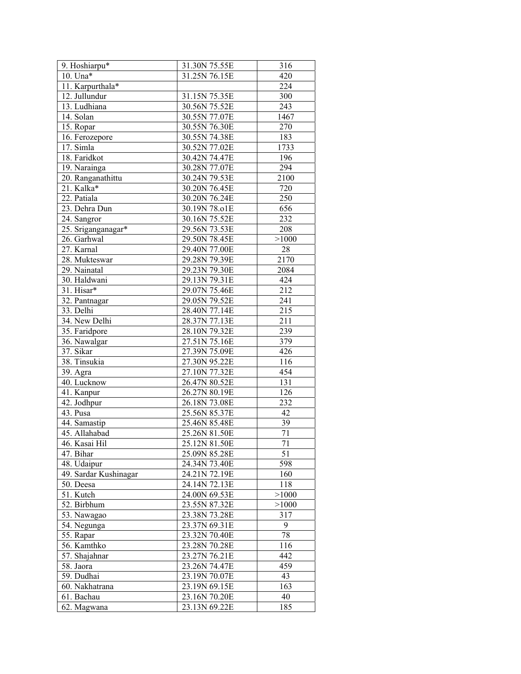| 9. Hoshiarpu*                     | 31.30N 75.55E | 316              |
|-----------------------------------|---------------|------------------|
| $10.$ Una*                        | 31.25N 76.15E | 420              |
| 11. Karpurthala*                  |               | 224              |
| 12. Jullundur                     | 31.15N 75.35E | 300              |
| $\overline{13}$ . Ludhiana        | 30.56N 75.52E | 243              |
| 14. Solan                         | 30.55N 77.07E | 1467             |
| 15. Ropar                         | 30.55N 76.30E | 270              |
| 16. Ferozepore                    | 30.55N 74.38E | 183              |
| 17. Simla                         | 30.52N 77.02E | 1733             |
| 18. Faridkot                      | 30.42N 74.47E | 196              |
| 19. Narainga                      | 30.28N 77.07E | 294              |
| 20. Ranganathittu                 | 30.24N 79.53E | 2100             |
| 21. Kalka*                        | 30.20N 76.45E | 720              |
| 22. Patiala                       | 30.20N 76.24E | 250              |
| 23. Dehra Dun                     | 30.19N 78.01E | 656              |
| 24. Sangror                       | 30.16N 75.52E | 232              |
|                                   | 29.56N 73.53E | 208              |
| 25. Sriganganagar*<br>26. Garhwal | 29.50N 78.45E |                  |
|                                   |               | >1000            |
| 27. Karnal                        | 29.40N 77.00E | $28\,$           |
| 28. Mukteswar                     | 29.28N 79.39E | 2170             |
| 29. Nainatal                      | 29.23N 79.30E | 2084             |
| 30. Haldwani                      | 29.13N 79.31E | 424              |
| 31. Hisar*                        | 29.07N 75.46E | 212              |
| 32. Pantnagar                     | 29.05N 79.52E | 241              |
| 33. Delhi                         | 28.40N 77.14E | 215              |
| 34. New Delhi                     | 28.37N 77.13E | 211              |
| 35. Faridpore                     | 28.10N 79.32E | 239              |
| 36. Nawalgar                      | 27.51N 75.16E | 379              |
| 37. Sikar                         | 27.39N 75.09E | 426              |
| 38. Tinsukia                      | 27.30N 95.22E | 116              |
| 39. Agra                          | 27.10N 77.32E | 454              |
| 40. Lucknow                       | 26.47N 80.52E | 131              |
| 41. Kanpur                        | 26.27N 80.19E | $\overline{126}$ |
| 42. Jodhpur                       | 26.18N 73.08E | 232              |
| 43. Pusa                          | 25.56N 85.37E | 42               |
| 44. Samastip                      | 25.46N 85.48E | 39               |
| 45. Allahabad                     | 25.26N 81.50E | $\overline{71}$  |
| 46. Kasai Hil                     | 25.12N 81.50E | $\overline{71}$  |
| 47. Bihar                         | 25.09N 85.28E | 51               |
| 48. Udaipur                       | 24.34N 73.40E | 598              |
| 49. Sardar Kushinagar             | 24.21N 72.19E | 160              |
| 50. Deesa                         | 24.14N 72.13E | 118              |
| 51. Kutch                         | 24.00N 69.53E | >1000            |
| 52. Birbhum                       | 23.55N 87.32E | >1000            |
| 53. Nawagao                       | 23.38N 73.28E | 317              |
| 54. Negunga                       | 23.37N 69.31E | 9                |
| 55. Rapar                         | 23.32N 70.40E | 78               |
| 56. Kamthko                       | 23.28N 70.28E | 116              |
| 57. Shajahnar                     | 23.27N 76.21E | 442              |
| 58. Jaora                         | 23.26N 74.47E | 459              |
| 59. Dudhai                        | 23.19N 70.07E | 43               |
| 60. Nakhatrana                    | 23.19N 69.15E | 163              |
| 61. Bachau                        | 23.16N 70.20E | 40               |
| 62. Magwana                       | 23.13N 69.22E | 185              |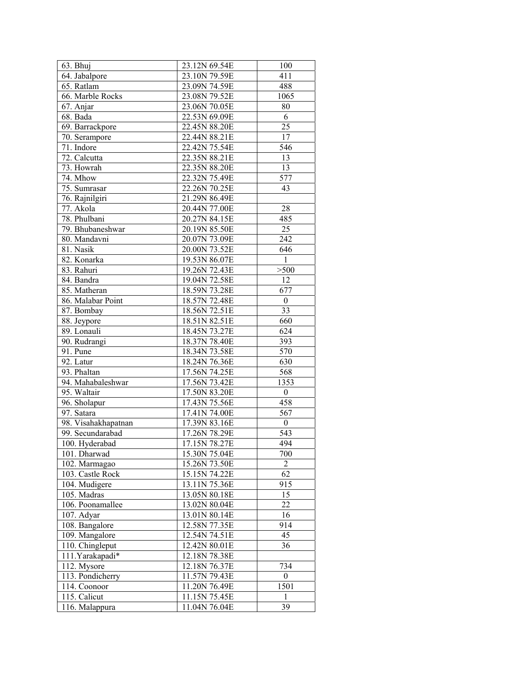| 63. Bhuj                       | 23.12N 69.54E | 100              |
|--------------------------------|---------------|------------------|
| 64. Jabalpore                  | 23.10N 79.59E | 411              |
| 65. Ratlam                     | 23.09N 74.59E | 488              |
| 66. Marble Rocks               | 23.08N 79.52E | 1065             |
| 67. Anjar                      | 23.06N 70.05E | 80               |
| 68. Bada                       | 22.53N 69.09E | 6                |
| 69. Barrackpore                | 22.45N 88.20E | 25               |
| 70. Serampore                  | 22.44N 88.21E | 17               |
| 71. Indore                     | 22.42N 75.54E | 546              |
| 72. Calcutta                   | 22.35N 88.21E | 13               |
| 73. Howrah                     | 22.35N 88.20E | 13               |
| 74. Mhow                       | 22.32N 75.49E | 577              |
| 75. Sumrasar                   | 22.26N 70.25E | 43               |
| 76. Rajnilgiri                 | 21.29N 86.49E |                  |
| 77. Akola                      | 20.44N 77.00E | 28               |
| 78. Phulbani                   | 20.27N 84.15E | 485              |
| 79. Bhubaneshwar               | 20.19N 85.50E | 25               |
| 80. Mandavni                   | 20.07N 73.09E | 242              |
| 81. Nasik                      | 20.00N 73.52E | 646              |
| 82. Konarka                    | 19.53N 86.07E | $\mathbf{1}$     |
| 83. Rahuri                     | 19.26N 72.43E | >500             |
| 84. Bandra                     | 19.04N 72.58E | 12               |
| 85. Matheran                   | 18.59N 73.28E | 677              |
| 86. Malabar Point              | 18.57N 72.48E | $\boldsymbol{0}$ |
| 87. Bombay                     | 18.56N 72.51E | 33               |
| 88. Jeypore                    | 18.51N 82.51E | 660              |
| 89. Lonauli                    | 18.45N 73.27E | 624              |
| 90. Rudrangi                   | 18.37N 78.40E | 393              |
| 91. Pune                       | 18.34N 73.58E | 570              |
| 92. Latur                      | 18.24N 76.36E | 630              |
| 93. Phaltan                    | 17.56N 74.25E | 568              |
| 94. Mahabaleshwar              | 17.56N 73.42E | 1353             |
| 95. Waltair                    | 17.50N 83.20E | $\boldsymbol{0}$ |
| 96. Sholapur                   | 17.43N 75.56E | 458              |
| 97. Satara                     | 17.41N 74.00E | 567              |
| 98. Visahakhapatnan            | 17.39N 83.16E | $\boldsymbol{0}$ |
| 99. Secundarabad               | 17.26N 78.29E | 543              |
| 100. Hyderabad                 | 17.15N 78.27E | 494              |
| 101. Dharwad                   | 15.30N 75.04E | 700              |
| 102. Marmagao                  | 15.26N 73.50E | 2                |
| 103. Castle Rock               | 15.15N 74.22E | 62               |
| 104. Mudigere                  | 13.11N 75.36E | 915              |
| 105. Madras                    | 13.05N 80.18E | 15               |
| 106. Poonamallee               | 13.02N 80.04E | 22               |
| 107. Adyar                     | 13.01N 80.14E | 16               |
| 108. Bangalore                 | 12.58N 77.35E | 914              |
| 109. Mangalore                 | 12.54N 74.51E | 45               |
| 110. Chingleput                | 12.42N 80.01E | 36               |
| 111. Yarakapadi*               | 12.18N 78.38E |                  |
| 112. Mysore                    | 12.18N 76.37E | 734              |
| $\overline{11}3$ . Pondicherry | 11.57N 79.43E | $\boldsymbol{0}$ |
| 114. Coonoor                   | 11.20N 76.49E | 1501             |
| 115. Calicut                   | 11.15N 75.45E | 1                |
| 116. Malappura                 | 11.04N 76.04E | 39               |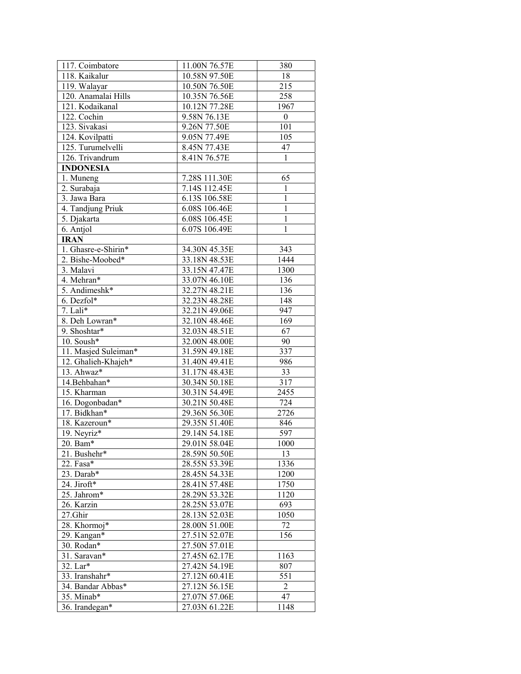| 117. Coimbatore           | 11.00N 76.57E | 380              |
|---------------------------|---------------|------------------|
| 118. Kaikalur             | 10.58N 97.50E | 18               |
| 119. Walayar              | 10.50N 76.50E | 215              |
| 120. Anamalai Hills       | 10.35N 76.56E | 258              |
| 121. Kodaikanal           | 10.12N 77.28E | 1967             |
| 122. Cochin               | 9.58N 76.13E  | $\boldsymbol{0}$ |
| 123. Sivakasi             | 9.26N 77.50E  | 101              |
| 124. Kovilpatti           | 9.05N 77.49E  | 105              |
| 125. Turumelvelli         | 8.45N 77.43E  | 47               |
| 126. Trivandrum           | 8.41N 76.57E  | 1                |
| <b>INDONESIA</b>          |               |                  |
| 1. Muneng                 | 7.28S 111.30E | 65               |
| 2. Surabaja               | 7.14S 112.45E | 1                |
| 3. Jawa Bara              | 6.13S 106.58E | $\mathbf{1}$     |
| 4. Tandjung Priuk         | 6.08S 106.46E | $\mathbf{1}$     |
| 5. Djakarta               | 6.08S 106.45E | $\mathbf{1}$     |
| 6. Antjol                 | 6.07S 106.49E | 1                |
| <b>IRAN</b>               |               |                  |
| 1. Ghasre-e-Shirin*       | 34.30N 45.35E | 343              |
| 2. Bishe-Moobed*          | 33.18N 48.53E | 1444             |
| 3. Malavi                 | 33.15N 47.47E | 1300             |
| 4. Mehran*                | 33.07N 46.10E | 136              |
| 5. Andimeshk*             | 32.27N 48.21E | 136              |
| 6. Dezfol*                | 32.23N 48.28E | 148              |
| 7. Lali $\overline{\ast}$ | 32.21N 49.06E | 947              |
| 8. Deh Lowran*            | 32.10N 48.46E | 169              |
| 9. Shoshtar*              | 32.03N 48.51E | 67               |
| 10. Soush $*$             | 32.00N 48.00E | 90               |
| 11. Masjed Suleiman*      | 31.59N 49.18E | 337              |
| 12. Ghalieh-Khajeh*       | 31.40N 49.41E | 986              |
| $\overline{13}$ . Ahwaz*  | 31.17N 48.43E | 33               |
| 14.Behbahan*              | 30.34N 50.18E | 317              |
| 15. Kharman               | 30.31N 54.49E | 2455             |
| 16. Dogonbadan*           | 30.21N 50.48E | 724              |
| 17. Bidkhan*              | 29.36N 56.30E | 2726             |
| 18. Kazeroun*             | 29.35N 51.40E | 846              |
| 19. Neyriz*               | 29.14N 54.18E | 597              |
| 20. Bam*                  | 29.01N 58.04E | 1000             |
| 21. Bushehr*              | 28.59N 50.50E | 13               |
| 22. Fasa*                 | 28.55N 53.39E | 1336             |
| 23. Darab*                | 28.45N 54.33E | 1200             |
| 24. Jiroft*               | 28.41N 57.48E | 1750             |
| 25. Jahrom*               | 28.29N 53.32E | 1120             |
| 26. Karzin                | 28.25N 53.07E | 693              |
| 27.Ghir                   | 28.13N 52.03E | 1050             |
| 28. Khormoj*              | 28.00N 51.00E | 72               |
| 29. Kangan*               | 27.51N 52.07E | 156              |
| 30. Rodan*                | 27.50N 57.01E |                  |
| 31. Saravan*              | 27.45N 62.17E | 1163             |
| 32. Lar*                  | 27.42N 54.19E | 807              |
| 33. Iranshahr*            | 27.12N 60.41E | 551              |
| 34. Bandar Abbas*         | 27.12N 56.15E | 2                |
| 35. Minab*                | 27.07N 57.06E | 47               |
| 36. Irandegan*            | 27.03N 61.22E | 1148             |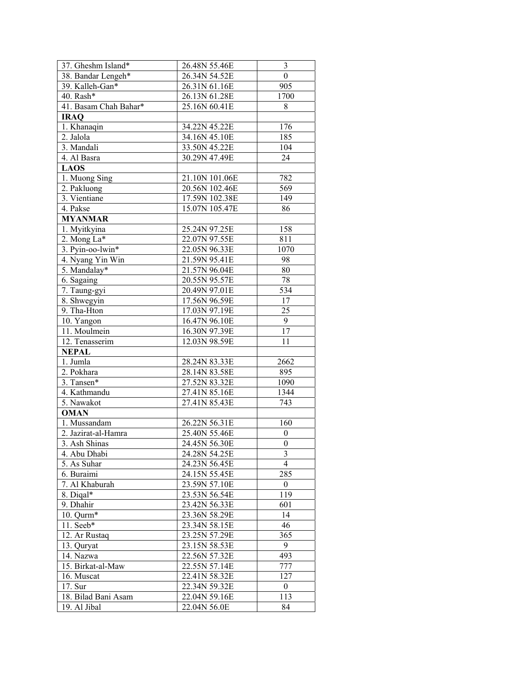| 37. Gheshm Island*    | 26.48N 55.46E  | $\mathfrak{Z}$   |
|-----------------------|----------------|------------------|
| 38. Bandar Lengeh*    | 26.34N 54.52E  | $\boldsymbol{0}$ |
| 39. Kalleh-Gan*       | 26.31N 61.16E  | 905              |
| 40. Rash*             | 26.13N 61.28E  | 1700             |
| 41. Basam Chah Bahar* | 25.16N 60.41E  | 8                |
| <b>IRAO</b>           |                |                  |
| 1. Khanaqin           | 34.22N 45.22E  | 176              |
| 2. Jalola             | 34.16N 45.10E  | 185              |
| 3. Mandali            | 33.50N 45.22E  | 104              |
| 4. Al Basra           | 30.29N 47.49E  | 24               |
| <b>LAOS</b>           |                |                  |
| 1. Muong Sing         | 21.10N 101.06E | 782              |
| 2. Pakluong           | 20.56N 102.46E | 569              |
| 3. Vientiane          | 17.59N 102.38E | 149              |
| 4. Pakse              | 15.07N 105.47E | 86               |
| <b>MYANMAR</b>        |                |                  |
| 1. Myitkyina          | 25.24N 97.25E  | 158              |
| 2. Mong La*           | 22.07N 97.55E  | 811              |
| 3. Pyin-oo-lwin*      | 22.05N 96.33E  | 1070             |
| 4. Nyang Yin Win      | 21.59N 95.41E  | 98               |
| 5. Mandalay*          | 21.57N 96.04E  | 80               |
| 6. Sagaing            | 20.55N 95.57E  | 78               |
| 7. Taung-gyi          | 20.49N 97.01E  | 534              |
| 8. Shwegyin           | 17.56N 96.59E  | 17               |
| 9. Tha-Hton           | 17.03N 97.19E  | 25               |
| 10. Yangon            | 16.47N 96.10E  | 9                |
| 11. Moulmein          | 16.30N 97.39E  | 17               |
| 12. Tenasserim        | 12.03N 98.59E  | 11               |
| <b>NEPAL</b>          |                |                  |
| 1. Jumla              | 28.24N 83.33E  | 2662             |
| 2. Pokhara            | 28.14N 83.58E  | 895              |
| 3. Tansen*            | 27.52N 83.32E  | 1090             |
| 4. Kathmandu          | 27.41N 85.16E  | 1344             |
| 5. Nawakot            | 27.41N 85.43E  | 743              |
| <b>OMAN</b>           |                |                  |
| 1. Mussandam          | 26.22N 56.31E  | 160              |
| 2. Jazirat-al-Hamra   | 25.40N 55.46E  | $\boldsymbol{0}$ |
| 3. Ash Shinas         | 24.45N 56.30E  | $\boldsymbol{0}$ |
| 4. Abu Dhabi          | 24.28N 54.25E  | 3                |
| 5. As Suhar           | 24.23N 56.45E  | $\overline{4}$   |
| 6. Buraimi            | 24.15N 55.45E  | 285              |
| 7. Al Khaburah        | 23.59N 57.10E  | $\boldsymbol{0}$ |
| 8. Digal*             | 23.53N 56.54E  | 119              |
| 9. Dhahir             | 23.42N 56.33E  | 601              |
| 10. Qurm*             | 23.36N 58.29E  | 14               |
| 11. Seeb*             | 23.34N 58.15E  | 46               |
| 12. Ar Rustaq         | 23.25N 57.29E  | 365              |
| 13. Quryat            | 23.15N 58.53E  | 9                |
| 14. Nazwa             | 22.56N 57.32E  | 493              |
| 15. Birkat-al-Maw     | 22.55N 57.14E  | 777              |
| 16. Muscat            | 22.41N 58.32E  | 127              |
| 17. Sur               | 22.34N 59.32E  | $\boldsymbol{0}$ |
| 18. Bilad Bani Asam   | 22.04N 59.16E  | 113              |
| 19. Al Jibal          | 22.04N 56.0E   | 84               |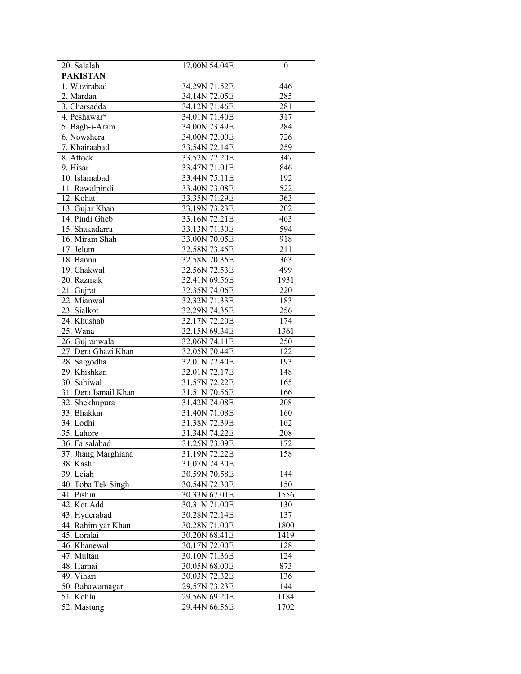| 20. Salalah          | 17.00N 54.04E | $\boldsymbol{0}$ |
|----------------------|---------------|------------------|
| <b>PAKISTAN</b>      |               |                  |
| 1. Wazirabad         | 34.29N 71.52E | 446              |
| 2. Mardan            |               | 285              |
|                      | 34.14N 72.05E |                  |
| 3. Charsadda         | 34.12N 71.46E | 281              |
| 4. Peshawar*         | 34.01N 71.40E | 317              |
| 5. Bagh-i-Aram       | 34.00N 73.49E | 284              |
| 6. Nowshera          | 34.00N 72.00E | 726              |
| 7. Khairaabad        | 33.54N 72.14E | 259              |
| 8. Attock            | 33.52N 72.20E | 347              |
| 9. Hisar             | 33.47N 71.01E | 846              |
| 10. Islamabad        | 33.44N 75.11E | 192              |
| 11. Rawalpindi       | 33.40N 73.08E | 522              |
| 12. Kohat            | 33.35N 71.29E | 363              |
| 13. Gujar Khan       | 33.19N 73.23E | 202              |
| 14. Pindi Gheb       | 33.16N 72.21E | 463              |
| 15. Shakadarra       | 33.13N 71.30E | 594              |
| 16. Miram Shah       | 33.00N 70.05E | 918              |
| 17. Jelum            | 32.58N 73.45E | 211              |
| 18. Bannu            | 32.58N 70.35E | 363              |
| 19. Chakwal          | 32.56N 72.53E | 499              |
| 20. Razmak           | 32.41N 69.56E | 1931             |
| 21. Gujrat           | 32.35N 74.06E | 220              |
| 22. Mianwali         | 32.32N 71.33E | 183              |
| 23. Sialkot          | 32.29N 74.35E | 256              |
|                      |               |                  |
| 24. Khushab          | 32.17N 72.20E | 174              |
| 25. Wana             | 32.15N 69.34E | 1361             |
| 26. Gujranwala       | 32.06N 74.11E | 250              |
| 27. Dera Ghazi Khan  | 32.05N 70.44E | 122              |
| 28. Sargodha         | 32.01N 72.40E | 193              |
| 29. Khishkan         | 32.01N 72.17E | 148              |
| 30. Sahiwal          | 31.57N 72.22E | 165              |
| 31. Dera Ismail Khan | 31.51N 70.56E | 166              |
| 32. Shekhupura       | 31.42N 74.08E | 208              |
| 33. Bhakkar          | 31.40N 71.08E | 160              |
| 34. Lodhi            | 31.38N 72.39E | 162              |
| 35. Lahore           | 31.34N 74.22E | 208              |
| 36. Faisalabad       | 31.25N 73.09E | 172              |
| 37. Jhang Marghiana  | 31.19N 72.22E | 158              |
| 38. Kashr            | 31.07N 74.30E |                  |
| 39. Leiah            | 30.59N 70.58E | 144              |
| 40. Toba Tek Singh   | 30.54N 72.30E | 150              |
| 41. Pishin           | 30.33N 67.01E | 1556             |
| 42. Kot Add          | 30.31N 71.00E | 130              |
| 43. Hyderabad        | 30.28N 72.14E | 137              |
| 44. Rahim yar Khan   | 30.28N 71.00E | 1800             |
| 45. Loralai          | 30.20N 68.41E | 1419             |
| 46. Khanewal         | 30.17N 72.00E | 128              |
| 47. Multan           | 30.10N 71.36E | 124              |
| 48. Harnai           | 30.05N 68.00E | 873              |
| 49. Vihari           | 30.03N 72.32E | 136              |
| 50. Bahawatnagar     | 29.57N 73.23E | 144              |
| 51. Kohlu            | 29.56N 69.20E | 1184             |
| 52. Mastung          | 29.44N 66.56E | 1702             |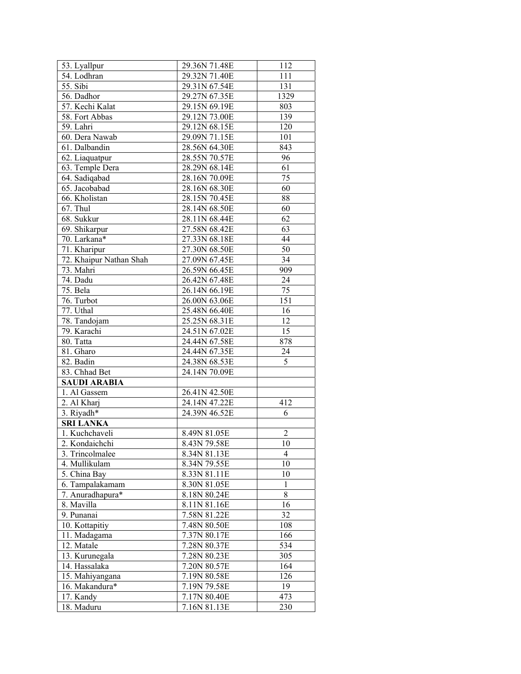| 53. Lyallpur                     | 29.36N 71.48E                | 112            |
|----------------------------------|------------------------------|----------------|
| 54. Lodhran                      | 29.32N 71.40E                | 111            |
| 55. Sibi                         | 29.31N 67.54E                | 131            |
| 56. Dadhor                       | 29.27N 67.35E                | 1329           |
| 57. Kechi Kalat                  | 29.15N 69.19E                | 803            |
| 58. Fort Abbas                   | 29.12N 73.00E                | 139            |
| 59. Lahri                        | 29.12N 68.15E                | 120            |
| 60. Dera Nawab                   | 29.09N 71.15E                | 101            |
| 61. Dalbandin                    | 28.56N 64.30E                | 843            |
| 62. Liaquatpur                   | 28.55N 70.57E                | 96             |
| 63. Temple Dera                  | 28.29N 68.14E                | 61             |
| 64. Sadiqabad                    | 28.16N 70.09E                | 75             |
| 65. Jacobabad                    | 28.16N 68.30E                | 60             |
| 66. Kholistan                    | 28.15N 70.45E                | 88             |
| 67. Thul                         | 28.14N 68.50E                | 60             |
| 68. Sukkur                       | 28.11N 68.44E                | 62             |
| 69. Shikarpur                    | 27.58N 68.42E                | 63             |
| 70. Larkana*                     | 27.33N 68.18E                | 44             |
| 71. Kharipur                     | 27.30N 68.50E                | 50             |
| 72. Khaipur Nathan Shah          | 27.09N 67.45E                | 34             |
| 73. Mahri                        | 26.59N 66.45E                | 909            |
| 74. Dadu                         | 26.42N 67.48E                | 24             |
| 75. Bela                         | 26.14N 66.19E                | 75             |
| 76. Turbot                       | 26.00N 63.06E                | 151            |
| 77. Uthal                        | 25.48N 66.40E                | 16             |
| 78. Tandojam                     | 25.25N 68.31E                | 12             |
| 79. Karachi                      | 24.51N 67.02E                | 15             |
| 80. Tatta                        | 24.44N 67.58E                | 878            |
| 81. Gharo                        | 24.44N 67.35E                | 24             |
| 82. Badin                        | 24.38N 68.53E                | 5              |
| 83. Chhad Bet                    | 24.14N 70.09E                |                |
| <b>SAUDI ARABIA</b>              |                              |                |
| 1. Al Gassem                     | 26.41N 42.50E                |                |
| 2. Al Kharj                      | 24.14N 47.22E                | 412            |
| 3. Riyadh*                       | 24.39N 46.52E                | 6              |
| <b>SRI LANKA</b>                 |                              |                |
| 1. Kuchchaveli                   | 8.49N 81.05E                 | $\overline{c}$ |
| 2. Kondaichchi                   | 8.43N 79.58E                 | 10             |
| 3. Trincolmalee                  | 8.34N 81.13E                 | 4              |
| 4. Mullikulam                    | 8.34N 79.55E                 | 10             |
| 5. China Bay                     | 8.33N 81.11E                 | 10             |
| 6. Tampalakamam                  | 8.30N 81.05E                 | 1              |
| 7. Anuradhapura*                 | 8.18N 80.24E                 | 8              |
| 8. Mavilla                       | 8.11N 81.16E                 | 16             |
| 9. Punanai                       | 7.58N 81.22E                 | 32             |
| 10. Kottapitiy                   | 7.48N 80.50E                 | 108            |
| 11. Madagama                     | 7.37N 80.17E                 | 166            |
| 12. Matale                       | 7.28N 80.37E                 | 534            |
| 13. Kurunegala                   | 7.28N 80.23E                 | 305            |
| 14. Hassalaka<br>15. Mahiyangana | 7.20N 80.57E<br>7.19N 80.58E | 164<br>126     |
| 16. Makandura*                   | 7.19N 79.58E                 | 19             |
| 17. Kandy                        | 7.17N 80.40E                 | 473            |
| 18. Maduru                       | 7.16N 81.13E                 | 230            |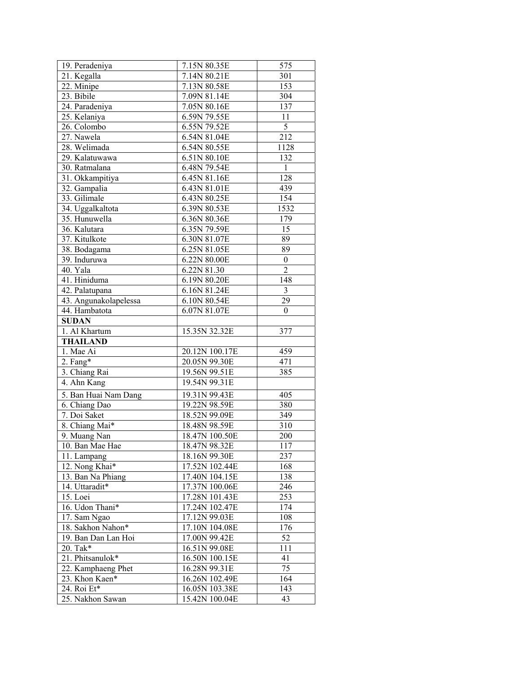| 19. Peradeniya                | 7.15N 80.35E                    | 575              |
|-------------------------------|---------------------------------|------------------|
| 21. Kegalla                   | 7.14N 80.21E                    | 301              |
| 22. Minipe                    | 7.13N 80.58E                    | 153              |
| 23. Bibile                    | 7.09N 81.14E                    | 304              |
| 24. Paradeniya                | 7.05N 80.16E                    | 137              |
| 25. Kelaniya                  | 6.59N 79.55E                    | 11               |
| 26. Colombo                   | 6.55N 79.52E                    | 5                |
| 27. Nawela                    | 6.54N 81.04E                    | 212              |
| 28. Welimada                  | 6.54N 80.55E                    | 1128             |
| 29. Kalatuwawa                | 6.51N 80.10E                    | 132              |
| 30. Ratmalana                 | 6.48N 79.54E                    | $\,1$            |
| 31. Okkampitiya               | 6.45N 81.16E                    | 128              |
| 32. Gampalia                  | 6.43N 81.01E                    | 439              |
| 33. Gilimale                  | 6.43N 80.25E                    | 154              |
| 34. Uggalkaltota              | 6.39N 80.53E                    | 1532             |
| 35. Hunuwella                 | 6.36N 80.36E                    | 179              |
| 36. Kalutara                  | 6.35N 79.59E                    | 15               |
| 37. Kitulkote                 | 6.30N 81.07E                    | 89               |
| 38. Bodagama                  | 6.25N 81.05E                    | 89               |
| 39. Induruwa                  | 6.22N 80.00E                    | $\boldsymbol{0}$ |
| 40. Yala                      | 6.22N 81.30                     | $\overline{c}$   |
| 41. Hiniduma                  | 6.19N 80.20E                    | 148              |
| 42. Palatupana                | 6.16N 81.24E                    | 3                |
| 43. Angunakolapelessa         | 6.10N 80.54E                    | 29               |
| 44. Hambatota                 | 6.07N 81.07E                    | $\boldsymbol{0}$ |
| <b>SUDAN</b>                  |                                 |                  |
| 1. Al Khartum                 | 15.35N 32.32E                   | 377              |
| <b>THAILAND</b>               |                                 |                  |
| 1. Mae Ai                     | 20.12N 100.17E                  | 459              |
| $2.$ Fang*                    | 20.05N 99.30E                   | 471              |
| 3. Chiang Rai                 | 19.56N 99.51E                   | 385              |
| 4. Ahn Kang                   | 19.54N 99.31E                   |                  |
|                               |                                 | 405              |
| 5. Ban Huai Nam Dang          | 19.31N 99.43E                   |                  |
| 6. Chiang Dao                 | 19.22N 98.59E                   | 380              |
| 7. Doi Saket                  | 18.52N 99.09E<br>18.48N 98.59E  | 349<br>310       |
| 8. Chiang Mai*                |                                 | 200              |
| 9. Muang Nan                  | 18.47N 100.50E<br>18.47N 98.32E |                  |
| 10. Ban Mae Hae               |                                 | 117<br>237       |
| 11. Lampang<br>12. Nong Khai* | 18.16N 99.30E                   | 168              |
|                               | 17.52N 102.44E                  |                  |
| 13. Ban Na Phiang             | 17.40N 104.15E                  | 138              |
| 14. Uttaradit*                | 17.37N 100.06E                  | 246              |
| 15. Loei                      | 17.28N 101.43E                  | 253              |
| 16. Udon Thani*               | 17.24N 102.47E                  | $\overline{174}$ |
| 17. Sam Ngao                  | 17.12N 99.03E                   | 108              |
| 18. Sakhon Nahon*             | 17.10N 104.08E                  | 176              |
| 19. Ban Dan Lan Hoi           | 17.00N 99.42E                   | 52               |
| 20. Tak*                      | 16.51N 99.08E                   | 111              |
| 21. Phitsanulok*              | 16.50N 100.15E                  | 41               |
| 22. Kamphaeng Phet            | 16.28N 99.31E                   | 75               |
| 23. Khon Kaen*                | 16.26N 102.49E                  | 164              |
| 24. Roi Et*                   | 16.05N 103.38E                  | 143              |
| 25. Nakhon Sawan              | 15.42N 100.04E                  | 43               |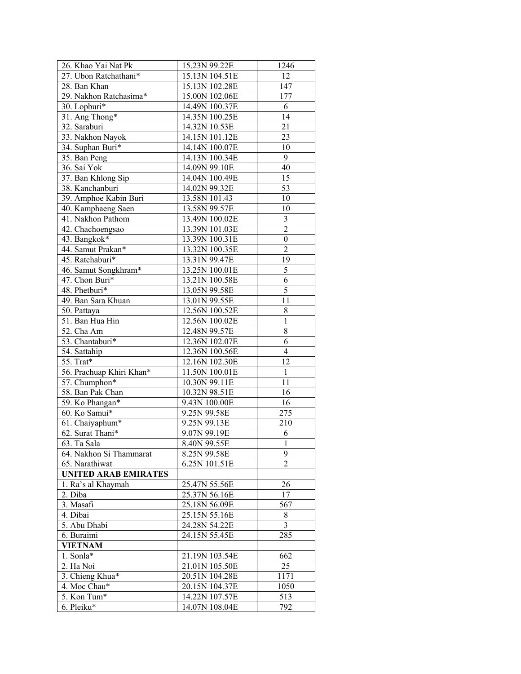| 26. Khao Yai Nat Pk         | 15.23N 99.22E  | 1246             |
|-----------------------------|----------------|------------------|
| 27. Ubon Ratchathani*       | 15.13N 104.51E | 12               |
| 28. Ban Khan                | 15.13N 102.28E | 147              |
| 29. Nakhon Ratchasima*      | 15.00N 102.06E | 177              |
| 30. Lopburi*                | 14.49N 100.37E | 6                |
| 31. Ang Thong*              | 14.35N 100.25E | 14               |
| 32. Saraburi                | 14.32N 10.53E  | 21               |
| 33. Nakhon Nayok            | 14.15N 101.12E | 23               |
| 34. Suphan Buri*            | 14.14N 100.07E | 10               |
| 35. Ban Peng                | 14.13N 100.34E | 9                |
| 36. Sai Yok                 | 14.09N 99.10E  | 40               |
| 37. Ban Khlong Sip          | 14.04N 100.49E | 15               |
| 38. Kanchanburi             | 14.02N 99.32E  | 53               |
| 39. Amphoe Kabin Buri       | 13.58N 101.43  | 10               |
| 40. Kamphaeng Saen          | 13.58N 99.57E  | 10               |
| 41. Nakhon Pathom           | 13.49N 100.02E | $\mathfrak{Z}$   |
| 42. Chachoengsao            | 13.39N 101.03E | $\overline{c}$   |
| 43. Bangkok*                | 13.39N 100.31E | $\boldsymbol{0}$ |
| 44. Samut Prakan*           | 13.32N 100.35E | $\overline{c}$   |
| 45. Ratchaburi*             |                | 19               |
|                             | 13.31N 99.47E  | 5                |
| 46. Samut Songkhram*        | 13.25N 100.01E | $\overline{6}$   |
| 47. Chon Buri*              | 13.21N 100.58E | 5                |
| 48. Phetburi*               | 13.05N 99.58E  |                  |
| 49. Ban Sara Khuan          | 13.01N 99.55E  | 11               |
| 50. Pattaya                 | 12.56N 100.52E | 8                |
| 51. Ban Hua Hin             | 12.56N 100.02E | $\,1$            |
| 52. Cha Am                  | 12.48N 99.57E  | 8                |
| 53. Chantaburi*             | 12.36N 102.07E | 6                |
| 54. Sattahip                | 12.36N 100.56E | $\overline{4}$   |
| 55. Trat*                   | 12.16N 102.30E | 12               |
| 56. Prachuap Khiri Khan*    | 11.50N 100.01E | $\,1$            |
| 57. Chumphon*               | 10.30N 99.11E  | 11               |
| 58. Ban Pak Chan            | 10.32N 98.51E  | 16               |
| 59. Ko Phangan*             | 9.43N 100.00E  | 16               |
| 60. Ko Samui*               | 9.25N 99.58E   | 275              |
| 61. Chaiyaphum*             | 9.25N 99.13E   | 210              |
| 62. Surat Thani*            | 9.07N 99.19E   | 6                |
| $\overline{63}$ . Ta Sala   | 8.40N 99.55E   | $\mathbf{I}$     |
| 64. Nakhon Si Thammarat     | 8.25N 99.58E   | 9                |
| 65. Narathiwat              | 6.25N 101.51E  | 2                |
| <b>UNITED ARAB EMIRATES</b> |                |                  |
| 1. Ra's al Khaymah          | 25.47N 55.56E  | 26               |
| 2. Diba                     | 25.37N 56.16E  | 17               |
| 3. Masafi                   | 25.18N 56.09E  | 567              |
| 4. Dibai                    | 25.15N 55.16E  | 8                |
| 5. Abu Dhabi                | 24.28N 54.22E  | 3                |
| 6. Buraimi                  | 24.15N 55.45E  | 285              |
| <b>VIETNAM</b>              |                |                  |
| 1. Sonla*                   | 21.19N 103.54E | 662              |
| 2. Ha Noi                   | 21.01N 105.50E | 25               |
| 3. Chieng Khua*             | 20.51N 104.28E | 1171             |
| 4. Moc Chau*                | 20.15N 104.37E | 1050             |
| 5. Kon Tum*                 | 14.22N 107.57E | 513              |
| 6. Pleiku*                  | 14.07N 108.04E | 792              |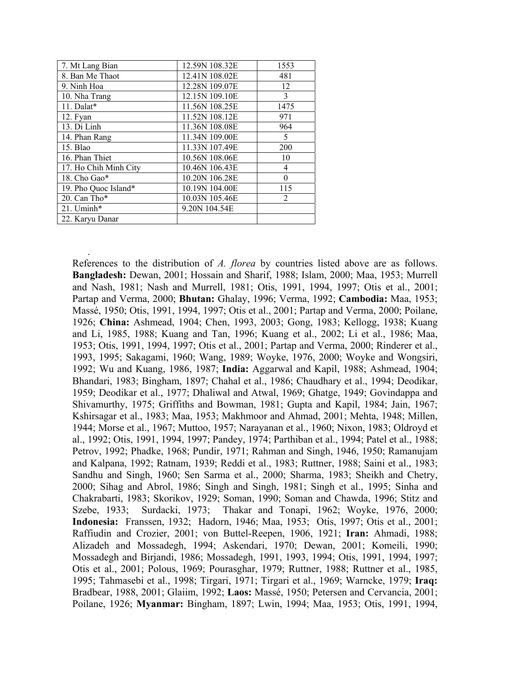| 7. Mt Lang Bian       | 12.59N 108.32E | 1553           |
|-----------------------|----------------|----------------|
| 8. Ban Me Thaot       | 12.41N 108.02E | 481            |
| 9. Ninh Hoa           | 12.28N 109.07E | 12             |
| 10. Nha Trang         | 12.15N 109.10E | 3              |
| 11. Dalat*            | 11.56N 108.25E | 1475           |
| 12. Fyan              | 11.52N 108.12E | 971            |
| 13. Di Linh           | 11.36N 108.08E | 964            |
| 14. Phan Rang         | 11.34N 109.00E | 5              |
| 15. Blao              | 11.33N 107.49E | 200            |
| 16. Phan Thiet        | 10.56N 108.06E | 10             |
| 17. Ho Chih Minh City | 10.46N 106.43E | 4              |
| 18. Cho Gao*          | 10.20N 106.28E | $\theta$       |
| 19. Pho Quoc Island*  | 10.19N 104.00E | 115            |
| 20. Can Tho*          | 10.03N 105.46E | $\overline{2}$ |
| 21. Uminh*            | 9.20N 104.54E  |                |
| 22. Karyu Danar       |                |                |

.

References to the distribution of *A. florea* by countries listed above are as follows. **Bangladesh:** Dewan, 2001; Hossain and Sharif, 1988; Islam, 2000; Maa, 1953; Murrell and Nash, 1981; Nash and Murrell, 1981; Otis, 1991, 1994, 1997; Otis et al., 2001; Partap and Verma, 2000; **Bhutan:** Ghalay, 1996; Verma, 1992; **Cambodia:** Maa, 1953; Massé, 1950; Otis, 1991, 1994, 1997; Otis et al., 2001; Partap and Verma, 2000; Poilane, 1926; **China:** Ashmead, 1904; Chen, 1993, 2003; Gong, 1983; Kellogg, 1938; Kuang and Li, 1985, 1988; Kuang and Tan, 1996; Kuang et al., 2002; Li et al., 1986; Maa, 1953; Otis, 1991, 1994, 1997; Otis et al., 2001; Partap and Verma, 2000; Rinderer et al., 1993, 1995; Sakagami, 1960; Wang, 1989; Woyke, 1976, 2000; Woyke and Wongsiri, 1992; Wu and Kuang, 1986, 1987; **India:** Aggarwal and Kapil, 1988; Ashmead, 1904; Bhandari, 1983; Bingham, 1897; Chahal et al., 1986; Chaudhary et al., 1994; Deodikar, 1959; Deodikar et al., 1977; Dhaliwal and Atwal, 1969; Ghatge, 1949; Govindappa and Shivamurthy, 1975; Griffiths and Bowman, 1981; Gupta and Kapil, 1984; Jain, 1967; Kshirsagar et al., 1983; Maa, 1953; Makhmoor and Ahmad, 2001; Mehta, 1948; Millen, 1944; Morse et al., 1967; Muttoo, 1957; Narayanan et al., 1960; Nixon, 1983; Oldroyd et al., 1992; Otis, 1991, 1994, 1997; Pandey, 1974; Parthiban et al., 1994; Patel et al., 1988; Petrov, 1992; Phadke, 1968; Pundir, 1971; Rahman and Singh, 1946, 1950; Ramanujam and Kalpana, 1992; Ratnam, 1939; Reddi et al., 1983; Ruttner, 1988; Saini et al., 1983; Sandhu and Singh, 1960; Sen Sarma et al., 2000; Sharma, 1983; Sheikh and Chetry, 2000; Sihag and Abrol, 1986; Singh and Singh, 1981; Singh et al., 1995; Sinha and Chakrabarti, 1983; Skorikov, 1929; Soman, 1990; Soman and Chawda, 1996; Stitz and Szebe, 1933; Surdacki, 1973; Thakar and Tonapi, 1962; Woyke, 1976, 2000; **Indonesia:** Franssen, 1932; Hadorn, 1946; Maa, 1953; Otis, 1997; Otis et al., 2001; Raffiudin and Crozier, 2001; von Buttel-Reepen, 1906, 1921; **Iran:** Ahmadi, 1988; Alizadeh and Mossadegh, 1994; Askendari, 1970; Dewan, 2001; Komeili, 1990; Mossadegh and Birjandi, 1986; Mossadegh, 1991, 1993, 1994; Otis, 1991, 1994, 1997; Otis et al., 2001; Polous, 1969; Pourasghar, 1979; Ruttner, 1988; Ruttner et al., 1985, 1995; Tahmasebi et al., 1998; Tirgari, 1971; Tirgari et al., 1969; Warncke, 1979; **Iraq:**  Bradbear, 1988, 2001; Glaiim, 1992; **Laos:** Massé, 1950; Petersen and Cervancia, 2001; Poilane, 1926; **Myanmar:** Bingham, 1897; Lwin, 1994; Maa, 1953; Otis, 1991, 1994,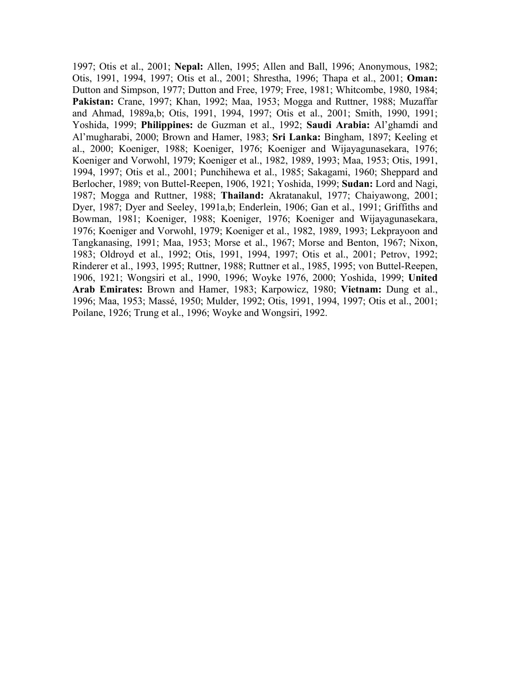1997; Otis et al., 2001; **Nepal:** Allen, 1995; Allen and Ball, 1996; Anonymous, 1982; Otis, 1991, 1994, 1997; Otis et al., 2001; Shrestha, 1996; Thapa et al., 2001; **Oman:**  Dutton and Simpson, 1977; Dutton and Free, 1979; Free, 1981; Whitcombe, 1980, 1984; **Pakistan:** Crane, 1997; Khan, 1992; Maa, 1953; Mogga and Ruttner, 1988; Muzaffar and Ahmad, 1989a,b; Otis, 1991, 1994, 1997; Otis et al., 2001; Smith, 1990, 1991; Yoshida, 1999; **Philippines:** de Guzman et al., 1992; **Saudi Arabia:** Al'ghamdi and Al'mugharabi, 2000; Brown and Hamer, 1983; **Sri Lanka:** Bingham, 1897; Keeling et al., 2000; Koeniger, 1988; Koeniger, 1976; Koeniger and Wijayagunasekara, 1976; Koeniger and Vorwohl, 1979; Koeniger et al., 1982, 1989, 1993; Maa, 1953; Otis, 1991, 1994, 1997; Otis et al., 2001; Punchihewa et al., 1985; Sakagami, 1960; Sheppard and Berlocher, 1989; von Buttel-Reepen, 1906, 1921; Yoshida, 1999; **Sudan:** Lord and Nagi, 1987; Mogga and Ruttner, 1988; **Thailand:** Akratanakul, 1977; Chaiyawong, 2001; Dyer, 1987; Dyer and Seeley, 1991a,b; Enderlein, 1906; Gan et al., 1991; Griffiths and Bowman, 1981; Koeniger, 1988; Koeniger, 1976; Koeniger and Wijayagunasekara, 1976; Koeniger and Vorwohl, 1979; Koeniger et al., 1982, 1989, 1993; Lekprayoon and Tangkanasing, 1991; Maa, 1953; Morse et al., 1967; Morse and Benton, 1967; Nixon, 1983; Oldroyd et al., 1992; Otis, 1991, 1994, 1997; Otis et al., 2001; Petrov, 1992; Rinderer et al., 1993, 1995; Ruttner, 1988; Ruttner et al., 1985, 1995; von Buttel-Reepen, 1906, 1921; Wongsiri et al., 1990, 1996; Woyke 1976, 2000; Yoshida, 1999; **United Arab Emirates:** Brown and Hamer, 1983; Karpowicz, 1980; **Vietnam:** Dung et al., 1996; Maa, 1953; Massé, 1950; Mulder, 1992; Otis, 1991, 1994, 1997; Otis et al., 2001; Poilane, 1926; Trung et al., 1996; Woyke and Wongsiri, 1992.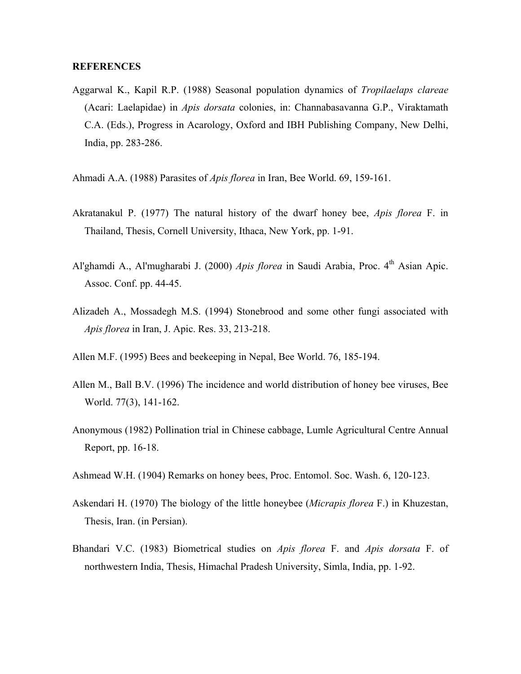## **REFERENCES**

- Aggarwal K., Kapil R.P. (1988) Seasonal population dynamics of *Tropilaelaps clareae* (Acari: Laelapidae) in *Apis dorsata* colonies, in: Channabasavanna G.P., Viraktamath C.A. (Eds.), Progress in Acarology, Oxford and IBH Publishing Company, New Delhi, India, pp. 283-286.
- Ahmadi A.A. (1988) Parasites of *Apis florea* in Iran, Bee World. 69, 159-161.
- Akratanakul P. (1977) The natural history of the dwarf honey bee, *Apis florea* F. in Thailand, Thesis, Cornell University, Ithaca, New York, pp. 1-91.
- Al'ghamdi A., Al'mugharabi J. (2000) *Apis florea* in Saudi Arabia, Proc. 4<sup>th</sup> Asian Apic. Assoc. Conf. pp. 44-45.
- Alizadeh A., Mossadegh M.S. (1994) Stonebrood and some other fungi associated with *Apis florea* in Iran, J. Apic. Res. 33, 213-218.
- Allen M.F. (1995) Bees and beekeeping in Nepal, Bee World. 76, 185-194.
- Allen M., Ball B.V. (1996) The incidence and world distribution of honey bee viruses, Bee World. 77(3), 141-162.
- Anonymous (1982) Pollination trial in Chinese cabbage, Lumle Agricultural Centre Annual Report, pp. 16-18.
- Ashmead W.H. (1904) Remarks on honey bees, Proc. Entomol. Soc. Wash. 6, 120-123.
- Askendari H. (1970) The biology of the little honeybee (*Micrapis florea* F.) in Khuzestan, Thesis, Iran. (in Persian).
- Bhandari V.C. (1983) Biometrical studies on *Apis florea* F. and *Apis dorsata* F. of northwestern India, Thesis, Himachal Pradesh University, Simla, India, pp. 1-92.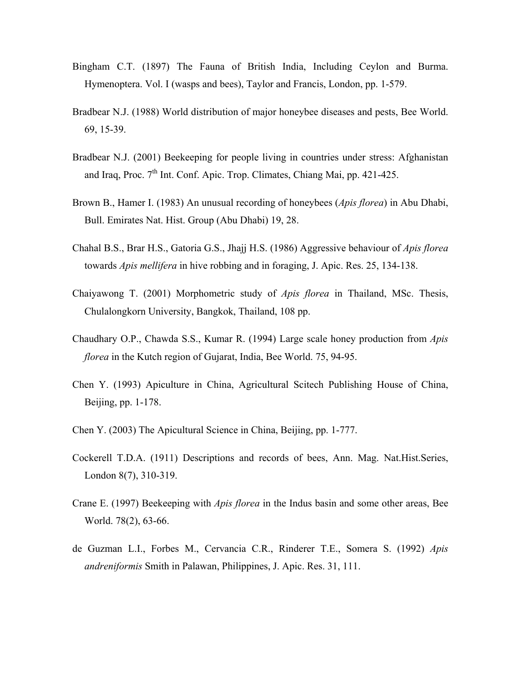- Bingham C.T. (1897) The Fauna of British India, Including Ceylon and Burma. Hymenoptera. Vol. I (wasps and bees), Taylor and Francis, London, pp. 1-579.
- Bradbear N.J. (1988) World distribution of major honeybee diseases and pests, Bee World. 69, 15-39.
- Bradbear N.J. (2001) Beekeeping for people living in countries under stress: Afghanistan and Iraq, Proc.  $7<sup>th</sup>$  Int. Conf. Apic. Trop. Climates, Chiang Mai, pp. 421-425.
- Brown B., Hamer I. (1983) An unusual recording of honeybees (*Apis florea*) in Abu Dhabi, Bull. Emirates Nat. Hist. Group (Abu Dhabi) 19, 28.
- Chahal B.S., Brar H.S., Gatoria G.S., Jhajj H.S. (1986) Aggressive behaviour of *Apis florea* towards *Apis mellifera* in hive robbing and in foraging, J. Apic. Res. 25, 134-138.
- Chaiyawong T. (2001) Morphometric study of *Apis florea* in Thailand, MSc. Thesis, Chulalongkorn University, Bangkok, Thailand, 108 pp.
- Chaudhary O.P., Chawda S.S., Kumar R. (1994) Large scale honey production from *Apis florea* in the Kutch region of Gujarat, India, Bee World. 75, 94-95.
- Chen Y. (1993) Apiculture in China, Agricultural Scitech Publishing House of China, Beijing, pp. 1-178.
- Chen Y. (2003) The Apicultural Science in China, Beijing, pp. 1-777.
- Cockerell T.D.A. (1911) Descriptions and records of bees, Ann. Mag. Nat.Hist.Series, London 8(7), 310-319.
- Crane E. (1997) Beekeeping with *Apis florea* in the Indus basin and some other areas, Bee World. 78(2), 63-66.
- de Guzman L.I., Forbes M., Cervancia C.R., Rinderer T.E., Somera S. (1992) *Apis andreniformis* Smith in Palawan, Philippines, J. Apic. Res. 31, 111.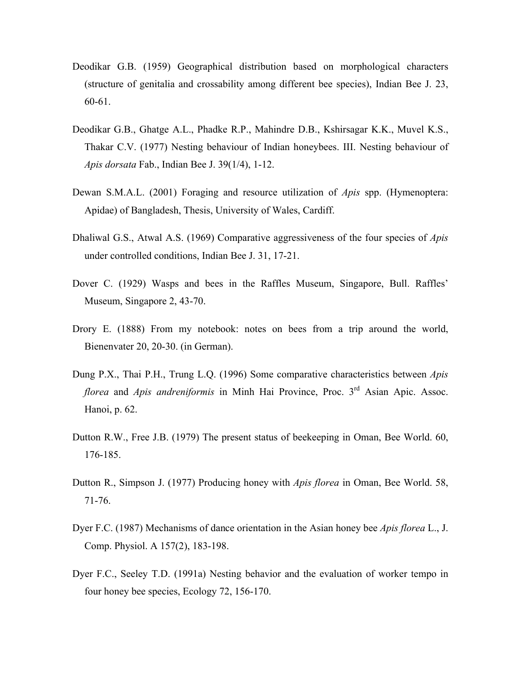- Deodikar G.B. (1959) Geographical distribution based on morphological characters (structure of genitalia and crossability among different bee species), Indian Bee J. 23, 60-61.
- Deodikar G.B., Ghatge A.L., Phadke R.P., Mahindre D.B., Kshirsagar K.K., Muvel K.S., Thakar C.V. (1977) Nesting behaviour of Indian honeybees. III. Nesting behaviour of *Apis dorsata* Fab., Indian Bee J. 39(1/4), 1-12.
- Dewan S.M.A.L. (2001) Foraging and resource utilization of *Apis* spp. (Hymenoptera: Apidae) of Bangladesh, Thesis, University of Wales, Cardiff.
- Dhaliwal G.S., Atwal A.S. (1969) Comparative aggressiveness of the four species of *Apis* under controlled conditions, Indian Bee J. 31, 17-21.
- Dover C. (1929) Wasps and bees in the Raffles Museum, Singapore, Bull. Raffles' Museum, Singapore 2, 43-70.
- Drory E. (1888) From my notebook: notes on bees from a trip around the world, Bienenvater 20, 20-30. (in German).
- Dung P.X., Thai P.H., Trung L.Q. (1996) Some comparative characteristics between *Apis florea* and *Apis andreniformis* in Minh Hai Province, Proc. 3<sup>rd</sup> Asian Apic. Assoc. Hanoi, p. 62.
- Dutton R.W., Free J.B. (1979) The present status of beekeeping in Oman, Bee World. 60, 176-185.
- Dutton R., Simpson J. (1977) Producing honey with *Apis florea* in Oman, Bee World. 58, 71-76.
- Dyer F.C. (1987) Mechanisms of dance orientation in the Asian honey bee *Apis florea* L., J. Comp. Physiol. A 157(2), 183-198.
- Dyer F.C., Seeley T.D. (1991a) Nesting behavior and the evaluation of worker tempo in four honey bee species, Ecology 72, 156-170.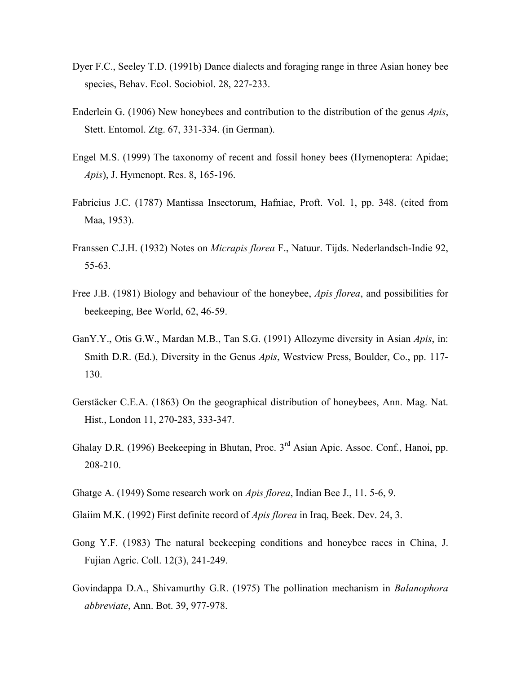- Dyer F.C., Seeley T.D. (1991b) Dance dialects and foraging range in three Asian honey bee species, Behav. Ecol. Sociobiol. 28, 227-233.
- Enderlein G. (1906) New honeybees and contribution to the distribution of the genus *Apis*, Stett. Entomol. Ztg. 67, 331-334. (in German).
- Engel M.S. (1999) The taxonomy of recent and fossil honey bees (Hymenoptera: Apidae; *Apis*), J. Hymenopt. Res. 8, 165-196.
- Fabricius J.C. (1787) Mantissa Insectorum, Hafniae, Proft. Vol. 1, pp. 348. (cited from Maa, 1953).
- Franssen C.J.H. (1932) Notes on *Micrapis florea* F., Natuur. Tijds. Nederlandsch-Indie 92, 55-63.
- Free J.B. (1981) Biology and behaviour of the honeybee, *Apis florea*, and possibilities for beekeeping, Bee World, 62, 46-59.
- GanY.Y., Otis G.W., Mardan M.B., Tan S.G. (1991) Allozyme diversity in Asian *Apis*, in: Smith D.R. (Ed.), Diversity in the Genus *Apis*, Westview Press, Boulder, Co., pp. 117- 130.
- Gerstäcker C.E.A. (1863) On the geographical distribution of honeybees, Ann. Mag. Nat. Hist., London 11, 270-283, 333-347.
- Ghalay D.R. (1996) Beekeeping in Bhutan, Proc. 3<sup>rd</sup> Asian Apic. Assoc. Conf., Hanoi, pp. 208-210.
- Ghatge A. (1949) Some research work on *Apis florea*, Indian Bee J., 11. 5-6, 9.
- Glaiim M.K. (1992) First definite record of *Apis florea* in Iraq, Beek. Dev. 24, 3.
- Gong Y.F. (1983) The natural beekeeping conditions and honeybee races in China, J. Fujian Agric. Coll. 12(3), 241-249.
- Govindappa D.A., Shivamurthy G.R. (1975) The pollination mechanism in *Balanophora abbreviate*, Ann. Bot. 39, 977-978.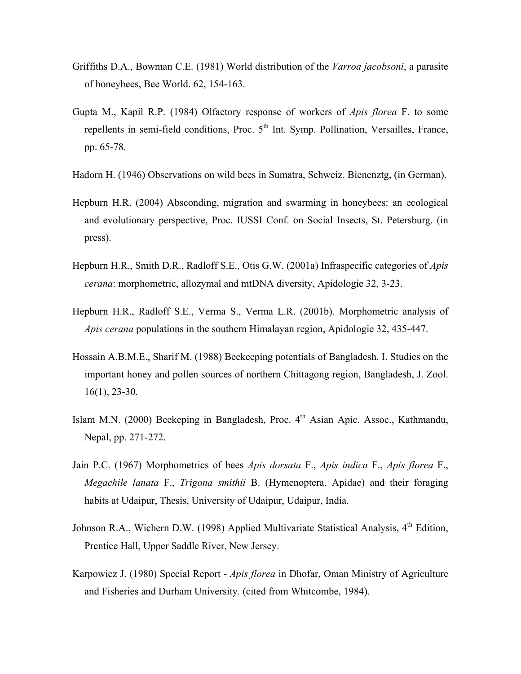- Griffiths D.A., Bowman C.E. (1981) World distribution of the *Varroa jacobsoni*, a parasite of honeybees, Bee World. 62, 154-163.
- Gupta M., Kapil R.P. (1984) Olfactory response of workers of *Apis florea* F. to some repellents in semi-field conditions, Proc.  $5<sup>th</sup>$  Int. Symp. Pollination, Versailles, France, pp. 65-78.
- Hadorn H. (1946) Observations on wild bees in Sumatra, Schweiz. Bienenztg, (in German).
- Hepburn H.R. (2004) Absconding, migration and swarming in honeybees: an ecological and evolutionary perspective, Proc. IUSSI Conf. on Social Insects, St. Petersburg. (in press).
- Hepburn H.R., Smith D.R., Radloff S.E., Otis G.W. (2001a) Infraspecific categories of *Apis cerana*: morphometric, allozymal and mtDNA diversity, Apidologie 32, 3-23.
- Hepburn H.R., Radloff S.E., Verma S., Verma L.R. (2001b). Morphometric analysis of *Apis cerana* populations in the southern Himalayan region, Apidologie 32, 435-447.
- Hossain A.B.M.E., Sharif M. (1988) Beekeeping potentials of Bangladesh. I. Studies on the important honey and pollen sources of northern Chittagong region, Bangladesh, J. Zool. 16(1), 23-30.
- Islam M.N. (2000) Beekeping in Bangladesh, Proc. 4<sup>th</sup> Asian Apic. Assoc., Kathmandu, Nepal, pp. 271-272.
- Jain P.C. (1967) Morphometrics of bees *Apis dorsata* F., *Apis indica* F., *Apis florea* F., *Megachile lanata* F., *Trigona smithii* B. (Hymenoptera, Apidae) and their foraging habits at Udaipur, Thesis, University of Udaipur, Udaipur, India.
- Johnson R.A., Wichern D.W. (1998) Applied Multivariate Statistical Analysis, 4<sup>th</sup> Edition, Prentice Hall, Upper Saddle River, New Jersey.
- Karpowicz J. (1980) Special Report *Apis florea* in Dhofar, Oman Ministry of Agriculture and Fisheries and Durham University. (cited from Whitcombe, 1984).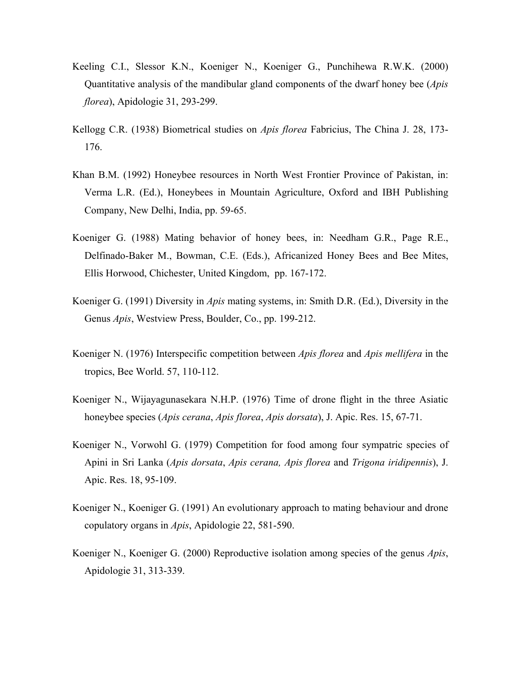- Keeling C.I., Slessor K.N., Koeniger N., Koeniger G., Punchihewa R.W.K. (2000) Quantitative analysis of the mandibular gland components of the dwarf honey bee (*Apis florea*), Apidologie 31, 293-299.
- Kellogg C.R. (1938) Biometrical studies on *Apis florea* Fabricius, The China J. 28, 173- 176.
- Khan B.M. (1992) Honeybee resources in North West Frontier Province of Pakistan, in: Verma L.R. (Ed.), Honeybees in Mountain Agriculture, Oxford and IBH Publishing Company, New Delhi, India, pp. 59-65.
- Koeniger G. (1988) Mating behavior of honey bees, in: Needham G.R., Page R.E., Delfinado-Baker M., Bowman, C.E. (Eds.), Africanized Honey Bees and Bee Mites, Ellis Horwood, Chichester, United Kingdom, pp. 167-172.
- Koeniger G. (1991) Diversity in *Apis* mating systems, in: Smith D.R. (Ed.), Diversity in the Genus *Apis*, Westview Press, Boulder, Co., pp. 199-212.
- Koeniger N. (1976) Interspecific competition between *Apis florea* and *Apis mellifera* in the tropics, Bee World. 57, 110-112.
- Koeniger N., Wijayagunasekara N.H.P. (1976) Time of drone flight in the three Asiatic honeybee species (*Apis cerana*, *Apis florea*, *Apis dorsata*), J. Apic. Res. 15, 67-71.
- Koeniger N., Vorwohl G. (1979) Competition for food among four sympatric species of Apini in Sri Lanka (*Apis dorsata*, *Apis cerana, Apis florea* and *Trigona iridipennis*), J. Apic. Res. 18, 95-109.
- Koeniger N., Koeniger G. (1991) An evolutionary approach to mating behaviour and drone copulatory organs in *Apis*, Apidologie 22, 581-590.
- Koeniger N., Koeniger G. (2000) Reproductive isolation among species of the genus *Apis*, Apidologie 31, 313-339.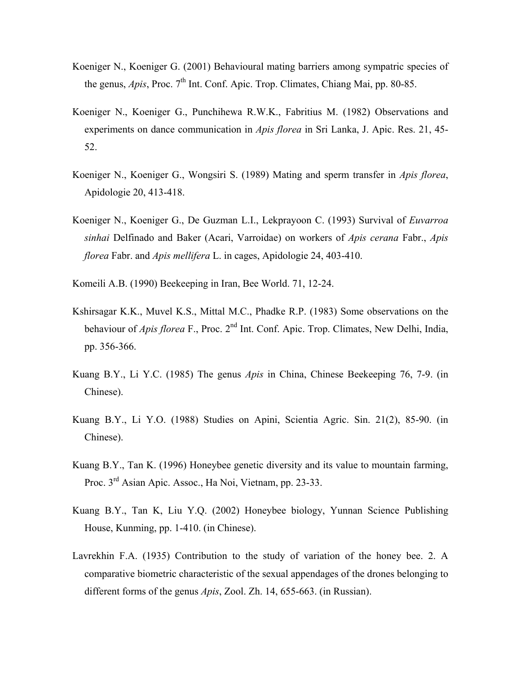- Koeniger N., Koeniger G. (2001) Behavioural mating barriers among sympatric species of the genus, *Apis*, Proc. 7<sup>th</sup> Int. Conf. Apic. Trop. Climates, Chiang Mai, pp. 80-85.
- Koeniger N., Koeniger G., Punchihewa R.W.K., Fabritius M. (1982) Observations and experiments on dance communication in *Apis florea* in Sri Lanka, J. Apic. Res. 21, 45- 52.
- Koeniger N., Koeniger G., Wongsiri S. (1989) Mating and sperm transfer in *Apis florea*, Apidologie 20, 413-418.
- Koeniger N., Koeniger G., De Guzman L.I., Lekprayoon C. (1993) Survival of *Euvarroa sinhai* Delfinado and Baker (Acari, Varroidae) on workers of *Apis cerana* Fabr., *Apis florea* Fabr. and *Apis mellifera* L. in cages, Apidologie 24, 403-410.
- Komeili A.B. (1990) Beekeeping in Iran, Bee World. 71, 12-24.
- Kshirsagar K.K., Muvel K.S., Mittal M.C., Phadke R.P. (1983) Some observations on the behaviour of *Apis florea* F., Proc. 2<sup>nd</sup> Int. Conf. Apic. Trop. Climates, New Delhi, India, pp. 356-366.
- Kuang B.Y., Li Y.C. (1985) The genus *Apis* in China, Chinese Beekeeping 76, 7-9. (in Chinese).
- Kuang B.Y., Li Y.O. (1988) Studies on Apini, Scientia Agric. Sin. 21(2), 85-90. (in Chinese).
- Kuang B.Y., Tan K. (1996) Honeybee genetic diversity and its value to mountain farming, Proc. 3rd Asian Apic. Assoc., Ha Noi, Vietnam, pp. 23-33.
- Kuang B.Y., Tan K, Liu Y.Q. (2002) Honeybee biology, Yunnan Science Publishing House, Kunming, pp. 1-410. (in Chinese).
- Lavrekhin F.A. (1935) Contribution to the study of variation of the honey bee. 2. A comparative biometric characteristic of the sexual appendages of the drones belonging to different forms of the genus *Apis*, Zool. Zh. 14, 655-663. (in Russian).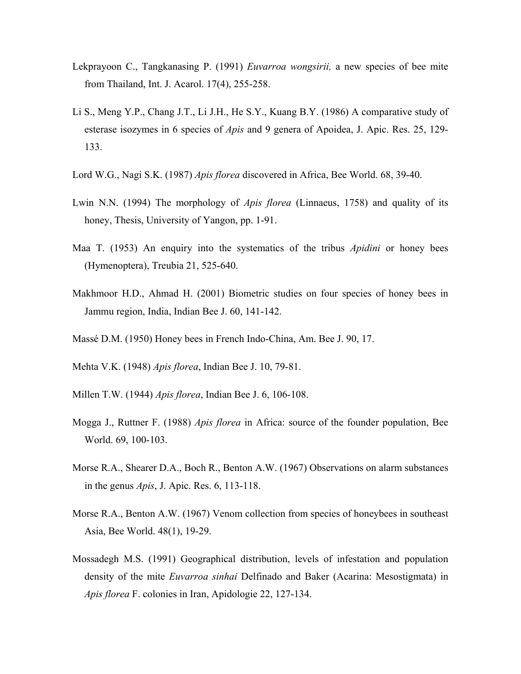- Lekprayoon C., Tangkanasing P. (1991) *Euvarroa wongsirii,* a new species of bee mite from Thailand, Int. J. Acarol. 17(4), 255-258.
- Li S., Meng Y.P., Chang J.T., Li J.H., He S.Y., Kuang B.Y. (1986) A comparative study of esterase isozymes in 6 species of *Apis* and 9 genera of Apoidea, J. Apic. Res. 25, 129- 133.
- Lord W.G., Nagi S.K. (1987) *Apis florea* discovered in Africa, Bee World. 68, 39-40.
- Lwin N.N. (1994) The morphology of *Apis florea* (Linnaeus, 1758) and quality of its honey, Thesis, University of Yangon, pp. 1-91.
- Maa T. (1953) An enquiry into the systematics of the tribus *Apidini* or honey bees (Hymenoptera), Treubia 21, 525-640.
- Makhmoor H.D., Ahmad H. (2001) Biometric studies on four species of honey bees in Jammu region, India, Indian Bee J. 60, 141-142.
- Massé D.M. (1950) Honey bees in French Indo-China, Am. Bee J. 90, 17.
- Mehta V.K. (1948) *Apis florea*, Indian Bee J. 10, 79-81.
- Millen T.W. (1944) *Apis florea*, Indian Bee J. 6, 106-108.
- Mogga J., Ruttner F. (1988) *Apis florea* in Africa: source of the founder population, Bee World. 69, 100-103.
- Morse R.A., Shearer D.A., Boch R., Benton A.W. (1967) Observations on alarm substances in the genus *Apis*, J. Apic. Res. 6, 113-118.
- Morse R.A., Benton A.W. (1967) Venom collection from species of honeybees in southeast Asia, Bee World. 48(1), 19-29.
- Mossadegh M.S. (1991) Geographical distribution, levels of infestation and population density of the mite *Euvarroa sinhai* Delfinado and Baker (Acarina: Mesostigmata) in *Apis florea* F. colonies in Iran, Apidologie 22, 127-134.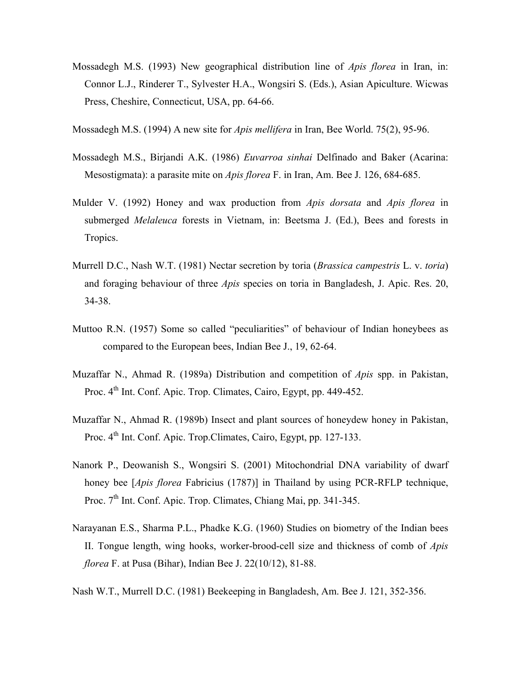- Mossadegh M.S. (1993) New geographical distribution line of *Apis florea* in Iran, in: Connor L.J., Rinderer T., Sylvester H.A., Wongsiri S. (Eds.), Asian Apiculture. Wicwas Press, Cheshire, Connecticut, USA, pp. 64-66.
- Mossadegh M.S. (1994) A new site for *Apis mellifera* in Iran, Bee World. 75(2), 95-96.
- Mossadegh M.S., Birjandi A.K. (1986) *Euvarroa sinhai* Delfinado and Baker (Acarina: Mesostigmata): a parasite mite on *Apis florea* F. in Iran, Am. Bee J. 126, 684-685.
- Mulder V. (1992) Honey and wax production from *Apis dorsata* and *Apis florea* in submerged *Melaleuca* forests in Vietnam, in: Beetsma J. (Ed.), Bees and forests in Tropics.
- Murrell D.C., Nash W.T. (1981) Nectar secretion by toria (*Brassica campestris* L. v. *toria*) and foraging behaviour of three *Apis* species on toria in Bangladesh, J. Apic. Res. 20, 34-38.
- Muttoo R.N. (1957) Some so called "peculiarities" of behaviour of Indian honeybees as compared to the European bees, Indian Bee J., 19, 62-64.
- Muzaffar N., Ahmad R. (1989a) Distribution and competition of *Apis* spp. in Pakistan, Proc. 4<sup>th</sup> Int. Conf. Apic. Trop. Climates, Cairo, Egypt, pp. 449-452.
- Muzaffar N., Ahmad R. (1989b) Insect and plant sources of honeydew honey in Pakistan, Proc.  $4^{th}$  Int. Conf. Apic. Trop. Climates, Cairo, Egypt, pp. 127-133.
- Nanork P., Deowanish S., Wongsiri S. (2001) Mitochondrial DNA variability of dwarf honey bee [*Apis florea* Fabricius (1787)] in Thailand by using PCR-RFLP technique, Proc. 7<sup>th</sup> Int. Conf. Apic. Trop. Climates, Chiang Mai, pp. 341-345.
- Narayanan E.S., Sharma P.L., Phadke K.G. (1960) Studies on biometry of the Indian bees II. Tongue length, wing hooks, worker-brood-cell size and thickness of comb of *Apis florea* F. at Pusa (Bihar), Indian Bee J. 22(10/12), 81-88.
- Nash W.T., Murrell D.C. (1981) Beekeeping in Bangladesh, Am. Bee J. 121, 352-356.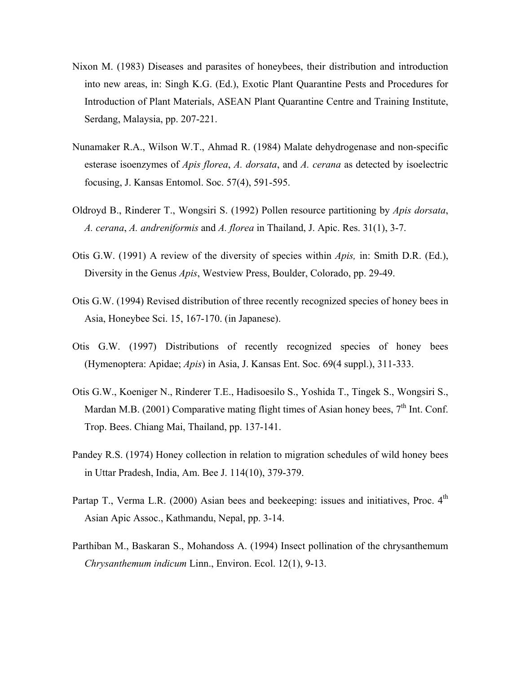- Nixon M. (1983) Diseases and parasites of honeybees, their distribution and introduction into new areas, in: Singh K.G. (Ed.), Exotic Plant Quarantine Pests and Procedures for Introduction of Plant Materials, ASEAN Plant Quarantine Centre and Training Institute, Serdang, Malaysia, pp. 207-221.
- Nunamaker R.A., Wilson W.T., Ahmad R. (1984) Malate dehydrogenase and non-specific esterase isoenzymes of *Apis florea*, *A. dorsata*, and *A. cerana* as detected by isoelectric focusing, J. Kansas Entomol. Soc. 57(4), 591-595.
- Oldroyd B., Rinderer T., Wongsiri S. (1992) Pollen resource partitioning by *Apis dorsata*, *A. cerana*, *A. andreniformis* and *A. florea* in Thailand, J. Apic. Res. 31(1), 3-7.
- Otis G.W. (1991) A review of the diversity of species within *Apis,* in: Smith D.R. (Ed.), Diversity in the Genus *Apis*, Westview Press, Boulder, Colorado, pp. 29-49.
- Otis G.W. (1994) Revised distribution of three recently recognized species of honey bees in Asia, Honeybee Sci. 15, 167-170. (in Japanese).
- Otis G.W. (1997) Distributions of recently recognized species of honey bees (Hymenoptera: Apidae; *Apis*) in Asia, J. Kansas Ent. Soc. 69(4 suppl.), 311-333.
- Otis G.W., Koeniger N., Rinderer T.E., Hadisoesilo S., Yoshida T., Tingek S., Wongsiri S., Mardan M.B. (2001) Comparative mating flight times of Asian honey bees,  $7<sup>th</sup>$  Int. Conf. Trop. Bees. Chiang Mai, Thailand, pp. 137-141.
- Pandey R.S. (1974) Honey collection in relation to migration schedules of wild honey bees in Uttar Pradesh, India, Am. Bee J. 114(10), 379-379.
- Partap T., Verma L.R. (2000) Asian bees and beekeeping: issues and initiatives, Proc.  $4<sup>th</sup>$ Asian Apic Assoc., Kathmandu, Nepal, pp. 3-14.
- Parthiban M., Baskaran S., Mohandoss A. (1994) Insect pollination of the chrysanthemum *Chrysanthemum indicum* Linn., Environ. Ecol. 12(1), 9-13.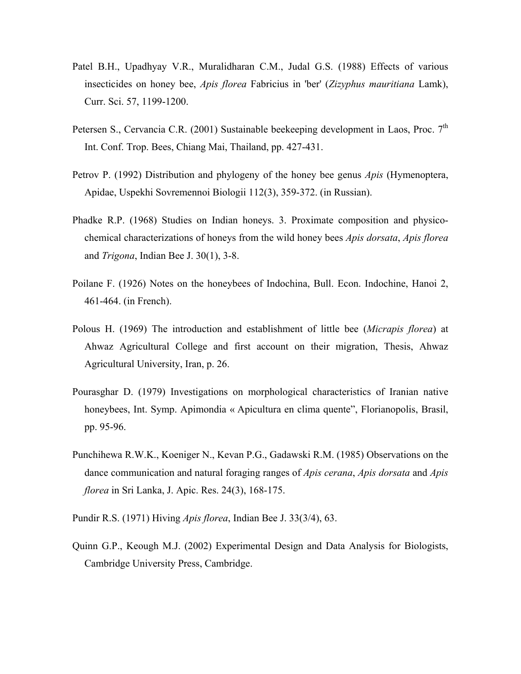- Patel B.H., Upadhyay V.R., Muralidharan C.M., Judal G.S. (1988) Effects of various insecticides on honey bee, *Apis florea* Fabricius in 'ber' (*Zizyphus mauritiana* Lamk), Curr. Sci. 57, 1199-1200.
- Petersen S., Cervancia C.R. (2001) Sustainable beekeeping development in Laos, Proc. 7<sup>th</sup> Int. Conf. Trop. Bees, Chiang Mai, Thailand, pp. 427-431.
- Petrov P. (1992) Distribution and phylogeny of the honey bee genus *Apis* (Hymenoptera, Apidae, Uspekhi Sovremennoi Biologii 112(3), 359-372. (in Russian).
- Phadke R.P. (1968) Studies on Indian honeys. 3. Proximate composition and physicochemical characterizations of honeys from the wild honey bees *Apis dorsata*, *Apis florea* and *Trigona*, Indian Bee J. 30(1), 3-8.
- Poilane F. (1926) Notes on the honeybees of Indochina, Bull. Econ. Indochine, Hanoi 2, 461-464. (in French).
- Polous H. (1969) The introduction and establishment of little bee (*Micrapis florea*) at Ahwaz Agricultural College and first account on their migration, Thesis, Ahwaz Agricultural University, Iran, p. 26.
- Pourasghar D. (1979) Investigations on morphological characteristics of Iranian native honeybees, Int. Symp. Apimondia « Apicultura en clima quente", Florianopolis, Brasil, pp. 95-96.
- Punchihewa R.W.K., Koeniger N., Kevan P.G., Gadawski R.M. (1985) Observations on the dance communication and natural foraging ranges of *Apis cerana*, *Apis dorsata* and *Apis florea* in Sri Lanka, J. Apic. Res. 24(3), 168-175.
- Pundir R.S. (1971) Hiving *Apis florea*, Indian Bee J. 33(3/4), 63.
- Quinn G.P., Keough M.J. (2002) Experimental Design and Data Analysis for Biologists, Cambridge University Press, Cambridge.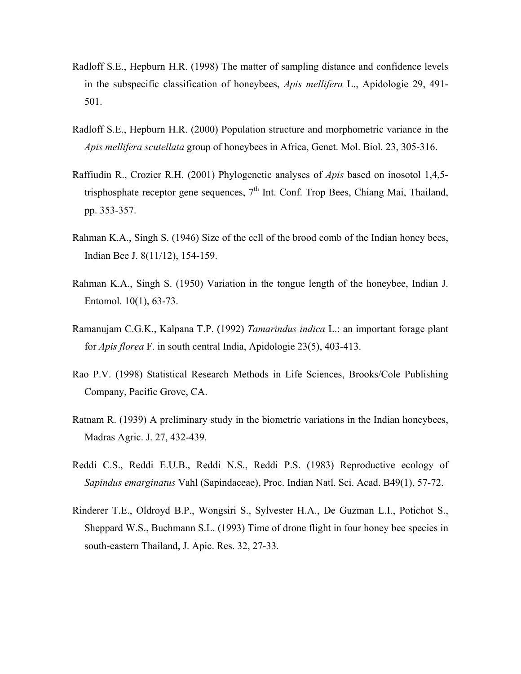- Radloff S.E., Hepburn H.R. (1998) The matter of sampling distance and confidence levels in the subspecific classification of honeybees, *Apis mellifera* L., Apidologie 29, 491- 501.
- Radloff S.E., Hepburn H.R. (2000) Population structure and morphometric variance in the *Apis mellifera scutellata* group of honeybees in Africa, Genet. Mol. Biol*.* 23, 305-316.
- Raffiudin R., Crozier R.H. (2001) Phylogenetic analyses of *Apis* based on inosotol 1,4,5 trisphosphate receptor gene sequences,  $7<sup>th</sup>$  Int. Conf. Trop Bees, Chiang Mai, Thailand, pp. 353-357.
- Rahman K.A., Singh S. (1946) Size of the cell of the brood comb of the Indian honey bees, Indian Bee J. 8(11/12), 154-159.
- Rahman K.A., Singh S. (1950) Variation in the tongue length of the honeybee, Indian J. Entomol. 10(1), 63-73.
- Ramanujam C.G.K., Kalpana T.P. (1992) *Tamarindus indica* L.: an important forage plant for *Apis florea* F. in south central India, Apidologie 23(5), 403-413.
- Rao P.V. (1998) Statistical Research Methods in Life Sciences, Brooks/Cole Publishing Company, Pacific Grove, CA.
- Ratnam R. (1939) A preliminary study in the biometric variations in the Indian honeybees, Madras Agric. J. 27, 432-439.
- Reddi C.S., Reddi E.U.B., Reddi N.S., Reddi P.S. (1983) Reproductive ecology of *Sapindus emarginatus* Vahl (Sapindaceae), Proc. Indian Natl. Sci. Acad. B49(1), 57-72.
- Rinderer T.E., Oldroyd B.P., Wongsiri S., Sylvester H.A., De Guzman L.I., Potichot S., Sheppard W.S., Buchmann S.L. (1993) Time of drone flight in four honey bee species in south-eastern Thailand, J. Apic. Res. 32, 27-33.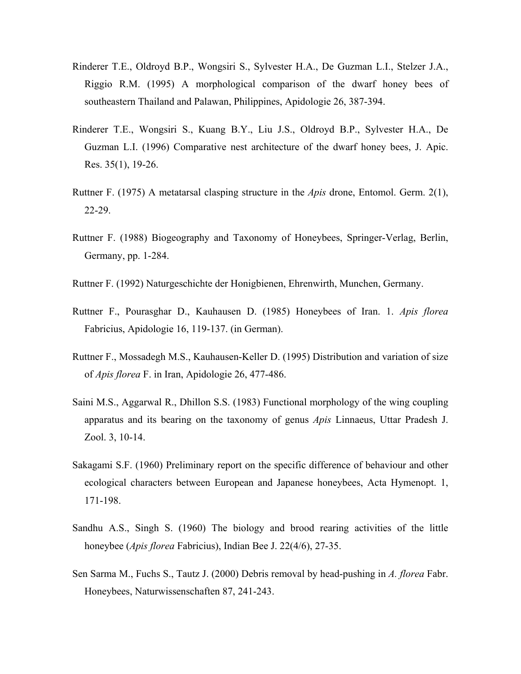- Rinderer T.E., Oldroyd B.P., Wongsiri S., Sylvester H.A., De Guzman L.I., Stelzer J.A., Riggio R.M. (1995) A morphological comparison of the dwarf honey bees of southeastern Thailand and Palawan, Philippines, Apidologie 26, 387-394.
- Rinderer T.E., Wongsiri S., Kuang B.Y., Liu J.S., Oldroyd B.P., Sylvester H.A., De Guzman L.I. (1996) Comparative nest architecture of the dwarf honey bees, J. Apic. Res. 35(1), 19-26.
- Ruttner F. (1975) A metatarsal clasping structure in the *Apis* drone, Entomol. Germ. 2(1), 22-29.
- Ruttner F. (1988) Biogeography and Taxonomy of Honeybees, Springer-Verlag, Berlin, Germany, pp. 1-284.
- Ruttner F. (1992) Naturgeschichte der Honigbienen, Ehrenwirth, Munchen, Germany.
- Ruttner F., Pourasghar D., Kauhausen D. (1985) Honeybees of Iran. 1. *Apis florea* Fabricius, Apidologie 16, 119-137. (in German).
- Ruttner F., Mossadegh M.S., Kauhausen-Keller D. (1995) Distribution and variation of size of *Apis florea* F. in Iran, Apidologie 26, 477-486.
- Saini M.S., Aggarwal R., Dhillon S.S. (1983) Functional morphology of the wing coupling apparatus and its bearing on the taxonomy of genus *Apis* Linnaeus, Uttar Pradesh J. Zool. 3, 10-14.
- Sakagami S.F. (1960) Preliminary report on the specific difference of behaviour and other ecological characters between European and Japanese honeybees, Acta Hymenopt. 1, 171-198.
- Sandhu A.S., Singh S. (1960) The biology and brood rearing activities of the little honeybee (*Apis florea* Fabricius), Indian Bee J. 22(4/6), 27-35.
- Sen Sarma M., Fuchs S., Tautz J. (2000) Debris removal by head-pushing in *A. florea* Fabr. Honeybees, Naturwissenschaften 87, 241-243.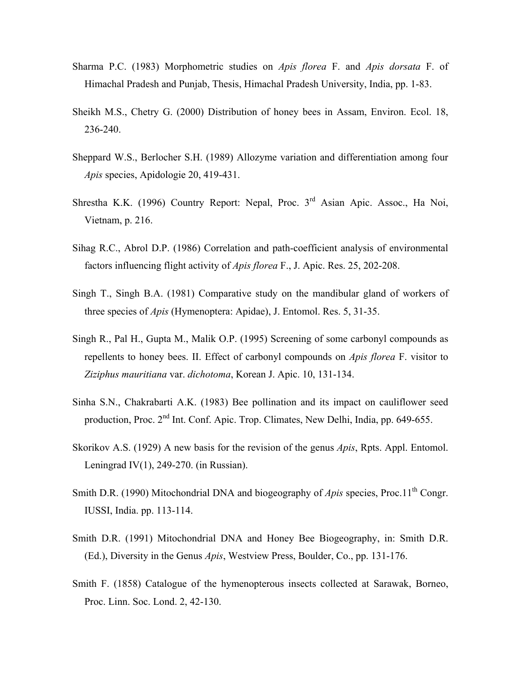- Sharma P.C. (1983) Morphometric studies on *Apis florea* F. and *Apis dorsata* F. of Himachal Pradesh and Punjab, Thesis, Himachal Pradesh University, India, pp. 1-83.
- Sheikh M.S., Chetry G. (2000) Distribution of honey bees in Assam, Environ. Ecol. 18, 236-240.
- Sheppard W.S., Berlocher S.H. (1989) Allozyme variation and differentiation among four *Apis* species, Apidologie 20, 419-431.
- Shrestha K.K. (1996) Country Report: Nepal, Proc. 3<sup>rd</sup> Asian Apic. Assoc., Ha Noi, Vietnam, p. 216.
- Sihag R.C., Abrol D.P. (1986) Correlation and path-coefficient analysis of environmental factors influencing flight activity of *Apis florea* F., J. Apic. Res. 25, 202-208.
- Singh T., Singh B.A. (1981) Comparative study on the mandibular gland of workers of three species of *Apis* (Hymenoptera: Apidae), J. Entomol. Res. 5, 31-35.
- Singh R., Pal H., Gupta M., Malik O.P. (1995) Screening of some carbonyl compounds as repellents to honey bees. II. Effect of carbonyl compounds on *Apis florea* F. visitor to *Ziziphus mauritiana* var. *dichotoma*, Korean J. Apic. 10, 131-134.
- Sinha S.N., Chakrabarti A.K. (1983) Bee pollination and its impact on cauliflower seed production, Proc. 2nd Int. Conf. Apic. Trop. Climates, New Delhi, India, pp. 649-655.
- Skorikov A.S. (1929) A new basis for the revision of the genus *Apis*, Rpts. Appl. Entomol. Leningrad IV(1), 249-270. (in Russian).
- Smith D.R. (1990) Mitochondrial DNA and biogeography of *Apis* species, Proc.11<sup>th</sup> Congr. IUSSI, India. pp. 113-114.
- Smith D.R. (1991) Mitochondrial DNA and Honey Bee Biogeography, in: Smith D.R. (Ed.), Diversity in the Genus *Apis*, Westview Press, Boulder, Co., pp. 131-176.
- Smith F. (1858) Catalogue of the hymenopterous insects collected at Sarawak, Borneo, Proc. Linn. Soc. Lond. 2, 42-130.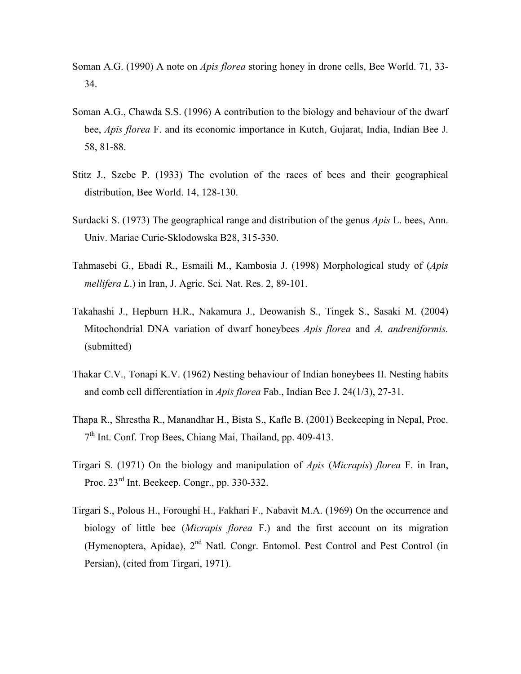- Soman A.G. (1990) A note on *Apis florea* storing honey in drone cells, Bee World. 71, 33- 34.
- Soman A.G., Chawda S.S. (1996) A contribution to the biology and behaviour of the dwarf bee, *Apis florea* F. and its economic importance in Kutch, Gujarat, India, Indian Bee J. 58, 81-88.
- Stitz J., Szebe P. (1933) The evolution of the races of bees and their geographical distribution, Bee World. 14, 128-130.
- Surdacki S. (1973) The geographical range and distribution of the genus *Apis* L. bees, Ann. Univ. Mariae Curie-Sklodowska B28, 315-330.
- Tahmasebi G., Ebadi R., Esmaili M., Kambosia J. (1998) Morphological study of (*Apis mellifera L*.) in Iran, J. Agric. Sci. Nat. Res. 2, 89-101.
- Takahashi J., Hepburn H.R., Nakamura J., Deowanish S., Tingek S., Sasaki M. (2004) Mitochondrial DNA variation of dwarf honeybees *Apis florea* and *A. andreniformis.* (submitted)
- Thakar C.V., Tonapi K.V. (1962) Nesting behaviour of Indian honeybees II. Nesting habits and comb cell differentiation in *Apis florea* Fab., Indian Bee J. 24(1/3), 27-31.
- Thapa R., Shrestha R., Manandhar H., Bista S., Kafle B. (2001) Beekeeping in Nepal, Proc.  $7<sup>th</sup>$  Int. Conf. Trop Bees, Chiang Mai, Thailand, pp. 409-413.
- Tirgari S. (1971) On the biology and manipulation of *Apis* (*Micrapis*) *florea* F. in Iran, Proc. 23rd Int. Beekeep. Congr., pp. 330-332.
- Tirgari S., Polous H., Foroughi H., Fakhari F., Nabavit M.A. (1969) On the occurrence and biology of little bee (*Micrapis florea* F.) and the first account on its migration (Hymenoptera, Apidae), 2<sup>nd</sup> Natl. Congr. Entomol. Pest Control and Pest Control (in Persian), (cited from Tirgari, 1971).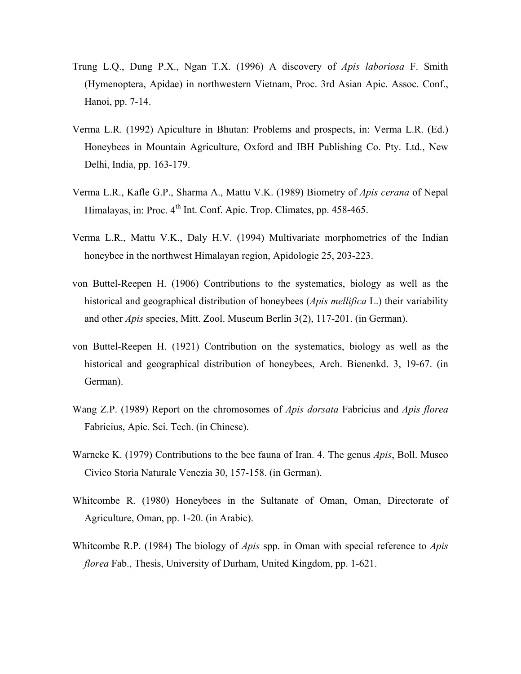- Trung L.Q., Dung P.X., Ngan T.X. (1996) A discovery of *Apis laboriosa* F. Smith (Hymenoptera, Apidae) in northwestern Vietnam, Proc. 3rd Asian Apic. Assoc. Conf., Hanoi, pp. 7-14.
- Verma L.R. (1992) Apiculture in Bhutan: Problems and prospects, in: Verma L.R. (Ed.) Honeybees in Mountain Agriculture, Oxford and IBH Publishing Co. Pty. Ltd., New Delhi, India, pp. 163-179.
- Verma L.R., Kafle G.P., Sharma A., Mattu V.K. (1989) Biometry of *Apis cerana* of Nepal Himalayas, in: Proc. 4<sup>th</sup> Int. Conf. Apic. Trop. Climates, pp. 458-465.
- Verma L.R., Mattu V.K., Daly H.V. (1994) Multivariate morphometrics of the Indian honeybee in the northwest Himalayan region, Apidologie 25, 203-223.
- von Buttel-Reepen H. (1906) Contributions to the systematics, biology as well as the historical and geographical distribution of honeybees (*Apis mellifica* L.) their variability and other *Apis* species, Mitt. Zool. Museum Berlin 3(2), 117-201. (in German).
- von Buttel-Reepen H. (1921) Contribution on the systematics, biology as well as the historical and geographical distribution of honeybees, Arch. Bienenkd. 3, 19-67. (in German).
- Wang Z.P. (1989) Report on the chromosomes of *Apis dorsata* Fabricius and *Apis florea* Fabricius, Apic. Sci. Tech. (in Chinese).
- Warncke K. (1979) Contributions to the bee fauna of Iran. 4. The genus *Apis*, Boll. Museo Civico Storia Naturale Venezia 30, 157-158. (in German).
- Whitcombe R. (1980) Honeybees in the Sultanate of Oman, Oman, Directorate of Agriculture, Oman, pp. 1-20. (in Arabic).
- Whitcombe R.P. (1984) The biology of *Apis* spp. in Oman with special reference to *Apis florea* Fab., Thesis, University of Durham, United Kingdom, pp. 1-621.